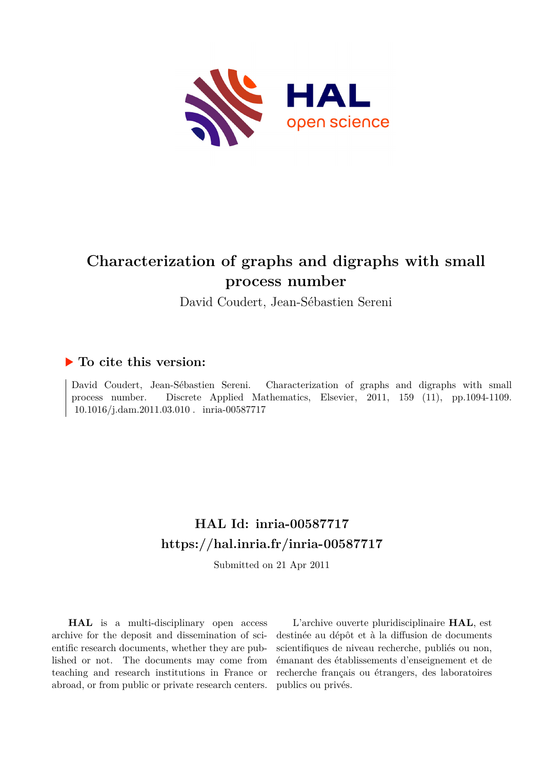

# **Characterization of graphs and digraphs with small process number**

David Coudert, Jean-Sébastien Sereni

## **To cite this version:**

David Coudert, Jean-Sébastien Sereni. Characterization of graphs and digraphs with small process number. Discrete Applied Mathematics, Elsevier, 2011, 159 (11), pp.1094-1109. 10.1016/j.dam.2011.03.010. inria-00587717

# **HAL Id: inria-00587717 <https://hal.inria.fr/inria-00587717>**

Submitted on 21 Apr 2011

**HAL** is a multi-disciplinary open access archive for the deposit and dissemination of scientific research documents, whether they are published or not. The documents may come from teaching and research institutions in France or abroad, or from public or private research centers.

L'archive ouverte pluridisciplinaire **HAL**, est destinée au dépôt et à la diffusion de documents scientifiques de niveau recherche, publiés ou non, émanant des établissements d'enseignement et de recherche français ou étrangers, des laboratoires publics ou privés.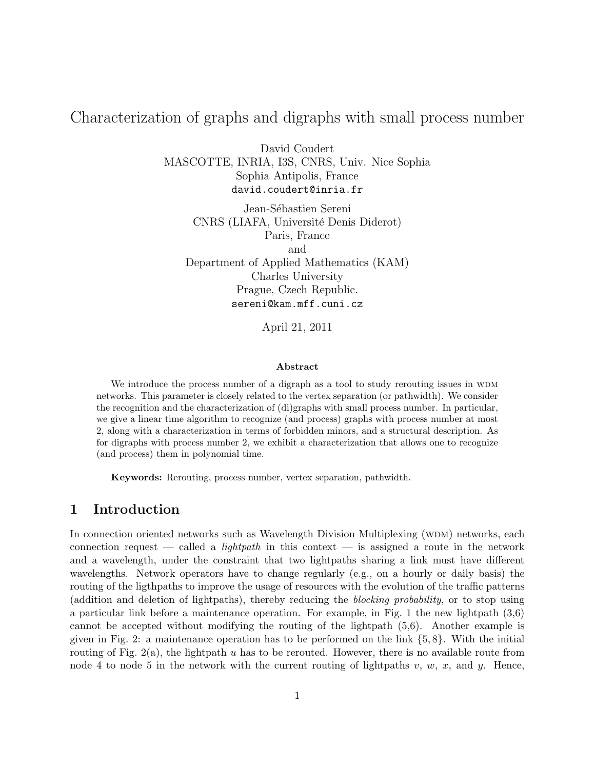## Characterization of graphs and digraphs with small process number

David Coudert MASCOTTE, INRIA, I3S, CNRS, Univ. Nice Sophia Sophia Antipolis, France david.coudert@inria.fr

Jean-Sébastien Sereni CNRS (LIAFA, Université Denis Diderot) Paris, France and Department of Applied Mathematics (KAM) Charles University Prague, Czech Republic. sereni@kam.mff.cuni.cz

April 21, 2011

#### Abstract

We introduce the process number of a digraph as a tool to study rerouting issues in WDM networks. This parameter is closely related to the vertex separation (or pathwidth). We consider the recognition and the characterization of (di)graphs with small process number. In particular, we give a linear time algorithm to recognize (and process) graphs with process number at most 2, along with a characterization in terms of forbidden minors, and a structural description. As for digraphs with process number 2, we exhibit a characterization that allows one to recognize (and process) them in polynomial time.

Keywords: Rerouting, process number, vertex separation, pathwidth.

## 1 Introduction

In connection oriented networks such as Wavelength Division Multiplexing (WDM) networks, each connection request — called a *lightpath* in this context — is assigned a route in the network and a wavelength, under the constraint that two lightpaths sharing a link must have different wavelengths. Network operators have to change regularly (e.g., on a hourly or daily basis) the routing of the ligthpaths to improve the usage of resources with the evolution of the traffic patterns (addition and deletion of lightpaths), thereby reducing the blocking probability, or to stop using a particular link before a maintenance operation. For example, in Fig. 1 the new lightpath (3,6) cannot be accepted without modifying the routing of the lightpath (5,6). Another example is given in Fig. 2: a maintenance operation has to be performed on the link  $\{5, 8\}$ . With the initial routing of Fig.  $2(a)$ , the lightpath u has to be rerouted. However, there is no available route from node 4 to node 5 in the network with the current routing of lightpaths v, w, x, and y. Hence,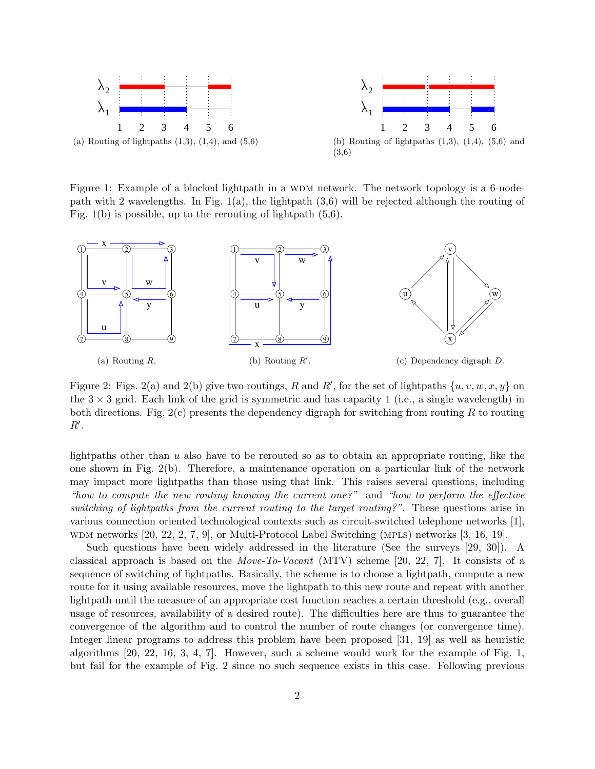

(a) Routing of lightpaths  $(1,3)$ ,  $(1,4)$ , and  $(5,6)$ 



(b) Routing of lightpaths  $(1,3)$ ,  $(1,4)$ ,  $(5,6)$  and (3,6)

Figure 1: Example of a blocked lightpath in a WDM network. The network topology is a 6-nodepath with 2 wavelengths. In Fig.  $1(a)$ , the lightpath  $(3,6)$  will be rejected although the routing of Fig.  $1(b)$  is possible, up to the rerouting of lightpath  $(5,6)$ .



Figure 2: Figs. 2(a) and 2(b) give two routings, R and R', for the set of lightpaths  $\{u, v, w, x, y\}$  on the  $3 \times 3$  grid. Each link of the grid is symmetric and has capacity 1 (i.e., a single wavelength) in both directions. Fig.  $2(c)$  presents the dependency digraph for switching from routing R to routing  $R^{\prime}$ .

lightpaths other than  $u$  also have to be rerouted so as to obtain an appropriate routing, like the one shown in Fig. 2(b). Therefore, a maintenance operation on a particular link of the network may impact more lightpaths than those using that link. This raises several questions, including "how to compute the new routing knowing the current one?" and "how to perform the effective switching of lightpaths from the current routing to the target routing?". These questions arise in various connection oriented technological contexts such as circuit-switched telephone networks [1], wdm networks [20, 22, 2, 7, 9], or Multi-Protocol Label Switching (mpls) networks [3, 16, 19].

Such questions have been widely addressed in the literature (See the surveys [29, 30]). A classical approach is based on the Move-To-Vacant (MTV) scheme [20, 22, 7]. It consists of a sequence of switching of lightpaths. Basically, the scheme is to choose a lightpath, compute a new route for it using available resources, move the lightpath to this new route and repeat with another lightpath until the measure of an appropriate cost function reaches a certain threshold (e.g., overall usage of resources, availability of a desired route). The difficulties here are thus to guarantee the convergence of the algorithm and to control the number of route changes (or convergence time). Integer linear programs to address this problem have been proposed [31, 19] as well as heuristic algorithms  $[20, 22, 16, 3, 4, 7]$ . However, such a scheme would work for the example of Fig. 1. but fail for the example of Fig. 2 since no such sequence exists in this case. Following previous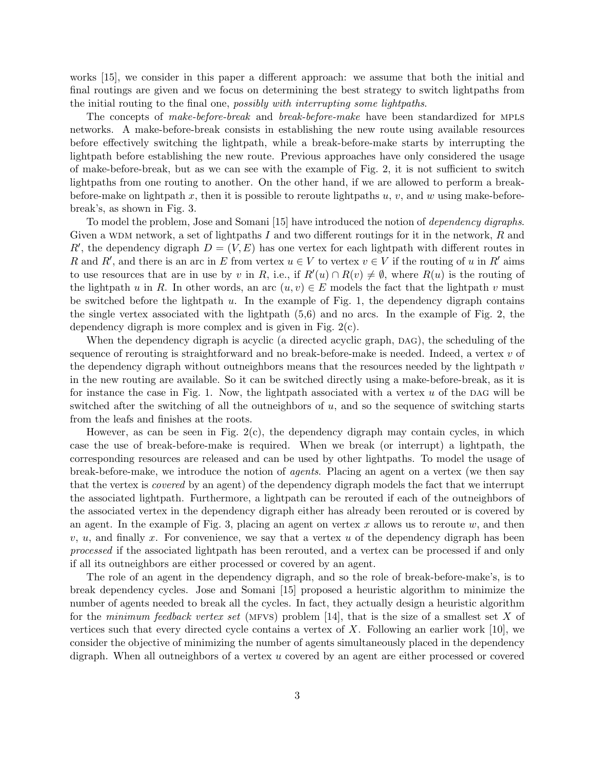works [15], we consider in this paper a different approach: we assume that both the initial and final routings are given and we focus on determining the best strategy to switch lightpaths from the initial routing to the final one, possibly with interrupting some lightpaths.

The concepts of *make-before-break* and *break-before-make* have been standardized for MPLS networks. A make-before-break consists in establishing the new route using available resources before effectively switching the lightpath, while a break-before-make starts by interrupting the lightpath before establishing the new route. Previous approaches have only considered the usage of make-before-break, but as we can see with the example of Fig. 2, it is not sufficient to switch lightpaths from one routing to another. On the other hand, if we are allowed to perform a breakbefore-make on lightpath x, then it is possible to reroute lightpaths  $u, v$ , and w using make-beforebreak's, as shown in Fig. 3.

To model the problem, Jose and Somani [15] have introduced the notion of dependency digraphs. Given a WDM network, a set of lightpaths I and two different routings for it in the network,  $R$  and R', the dependency digraph  $D = (V, E)$  has one vertex for each lightpath with different routes in R and R', and there is an arc in E from vertex  $u \in V$  to vertex  $v \in V$  if the routing of u in R' aims to use resources that are in use by v in R, i.e., if  $R'(u) \cap R(v) \neq \emptyset$ , where  $R(u)$  is the routing of the lightpath u in R. In other words, an arc  $(u, v) \in E$  models the fact that the lightpath v must be switched before the lightpath  $u$ . In the example of Fig. 1, the dependency digraph contains the single vertex associated with the lightpath (5,6) and no arcs. In the example of Fig. 2, the dependency digraph is more complex and is given in Fig. 2(c).

When the dependency digraph is acyclic (a directed acyclic graph, DAG), the scheduling of the sequence of rerouting is straightforward and no break-before-make is needed. Indeed, a vertex  $v$  of the dependency digraph without outneighbors means that the resources needed by the lightpath  $v$ in the new routing are available. So it can be switched directly using a make-before-break, as it is for instance the case in Fig. 1. Now, the lightpath associated with a vertex  $u$  of the DAG will be switched after the switching of all the outneighbors of u, and so the sequence of switching starts from the leafs and finishes at the roots.

However, as can be seen in Fig.  $2(c)$ , the dependency digraph may contain cycles, in which case the use of break-before-make is required. When we break (or interrupt) a lightpath, the corresponding resources are released and can be used by other lightpaths. To model the usage of break-before-make, we introduce the notion of agents. Placing an agent on a vertex (we then say that the vertex is covered by an agent) of the dependency digraph models the fact that we interrupt the associated lightpath. Furthermore, a lightpath can be rerouted if each of the outneighbors of the associated vertex in the dependency digraph either has already been rerouted or is covered by an agent. In the example of Fig. 3, placing an agent on vertex  $x$  allows us to reroute  $w$ , and then  $v, u$ , and finally x. For convenience, we say that a vertex u of the dependency digraph has been processed if the associated lightpath has been rerouted, and a vertex can be processed if and only if all its outneighbors are either processed or covered by an agent.

The role of an agent in the dependency digraph, and so the role of break-before-make's, is to break dependency cycles. Jose and Somani [15] proposed a heuristic algorithm to minimize the number of agents needed to break all the cycles. In fact, they actually design a heuristic algorithm for the minimum feedback vertex set (MFVS) problem [14], that is the size of a smallest set X of vertices such that every directed cycle contains a vertex of X. Following an earlier work  $[10]$ , we consider the objective of minimizing the number of agents simultaneously placed in the dependency digraph. When all outneighbors of a vertex u covered by an agent are either processed or covered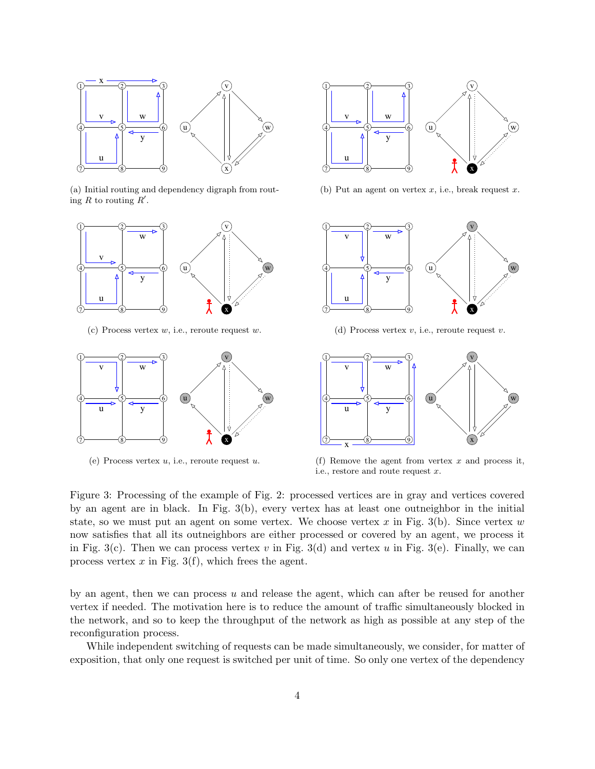

(a) Initial routing and dependency digraph from routing R to routing  $R'$ .



(c) Process vertex  $w$ , i.e., reroute request  $w$ .



(e) Process vertex  $u$ , i.e., reroute request  $u$ .



(b) Put an agent on vertex  $x$ , i.e., break request  $x$ .



(d) Process vertex  $v$ , i.e., reroute request  $v$ .



(f) Remove the agent from vertex  $x$  and process it, i.e., restore and route request x.

Figure 3: Processing of the example of Fig. 2: processed vertices are in gray and vertices covered by an agent are in black. In Fig. 3(b), every vertex has at least one outneighbor in the initial state, so we must put an agent on some vertex. We choose vertex x in Fig. 3(b). Since vertex  $w$ now satisfies that all its outneighbors are either processed or covered by an agent, we process it in Fig. 3(c). Then we can process vertex v in Fig. 3(d) and vertex u in Fig. 3(e). Finally, we can process vertex  $x$  in Fig. 3(f), which frees the agent.

by an agent, then we can process  $u$  and release the agent, which can after be reused for another vertex if needed. The motivation here is to reduce the amount of traffic simultaneously blocked in the network, and so to keep the throughput of the network as high as possible at any step of the reconfiguration process.

While independent switching of requests can be made simultaneously, we consider, for matter of exposition, that only one request is switched per unit of time. So only one vertex of the dependency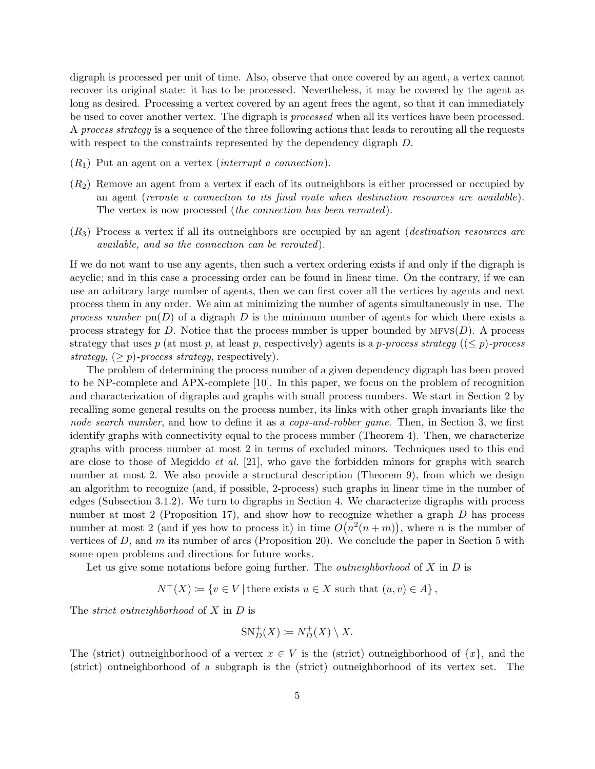digraph is processed per unit of time. Also, observe that once covered by an agent, a vertex cannot recover its original state: it has to be processed. Nevertheless, it may be covered by the agent as long as desired. Processing a vertex covered by an agent frees the agent, so that it can immediately be used to cover another vertex. The digraph is processed when all its vertices have been processed. A process strategy is a sequence of the three following actions that leads to rerouting all the requests with respect to the constraints represented by the dependency digraph D.

- $(R_1)$  Put an agent on a vertex *(interrupt a connection)*.
- $(R<sub>2</sub>)$  Remove an agent from a vertex if each of its outneighbors is either processed or occupied by an agent (reroute a connection to its final route when destination resources are available). The vertex is now processed *(the connection has been rerouted)*.
- $(R_3)$  Process a vertex if all its outneighbors are occupied by an agent (*destination resources are* available, and so the connection can be rerouted).

If we do not want to use any agents, then such a vertex ordering exists if and only if the digraph is acyclic; and in this case a processing order can be found in linear time. On the contrary, if we can use an arbitrary large number of agents, then we can first cover all the vertices by agents and next process them in any order. We aim at minimizing the number of agents simultaneously in use. The process number  $p(n)$  of a digraph D is the minimum number of agents for which there exists a process strategy for D. Notice that the process number is upper bounded by  $MFS(D)$ . A process strategy that uses p (at most p, at least p, respectively) agents is a p-process strategy  $((\leq p)$ -process strategy,  $(\geq p)$ -process strategy, respectively).

The problem of determining the process number of a given dependency digraph has been proved to be NP-complete and APX-complete [10]. In this paper, we focus on the problem of recognition and characterization of digraphs and graphs with small process numbers. We start in Section 2 by recalling some general results on the process number, its links with other graph invariants like the node search number, and how to define it as a cops-and-robber game. Then, in Section 3, we first identify graphs with connectivity equal to the process number (Theorem 4). Then, we characterize graphs with process number at most 2 in terms of excluded minors. Techniques used to this end are close to those of Megiddo et al. [21], who gave the forbidden minors for graphs with search number at most 2. We also provide a structural description (Theorem 9), from which we design an algorithm to recognize (and, if possible, 2-process) such graphs in linear time in the number of edges (Subsection 3.1.2). We turn to digraphs in Section 4. We characterize digraphs with process number at most 2 (Proposition 17), and show how to recognize whether a graph  $D$  has process number at most 2 (and if yes how to process it) in time  $O(n^2(n+m))$ , where *n* is the number of vertices of  $D$ , and  $m$  its number of arcs (Proposition 20). We conclude the paper in Section 5 with some open problems and directions for future works.

Let us give some notations before going further. The *outneighborhood* of  $X$  in  $D$  is

 $N^+(X) \coloneqq \{v \in V \mid \text{there exists } u \in X \text{ such that } (u, v) \in A\},$ 

The *strict* outneighborhood of  $X$  in  $D$  is

$$
\mathrm{SN}_{D}^{+}(X) \coloneqq N_{D}^{+}(X) \setminus X.
$$

The (strict) outneighborhood of a vertex  $x \in V$  is the (strict) outneighborhood of  $\{x\}$ , and the (strict) outneighborhood of a subgraph is the (strict) outneighborhood of its vertex set. The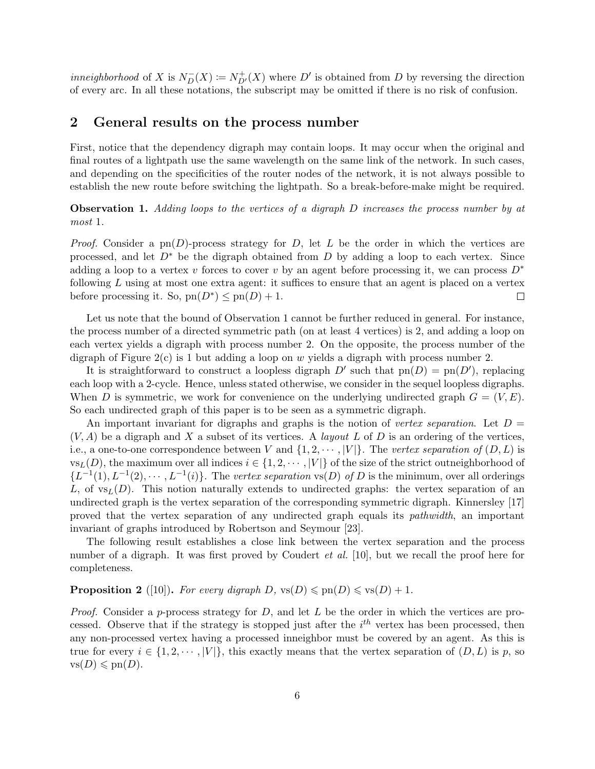*inneighborhood* of X is  $N_D^-(X) := N_{D'}^+(X)$  where D' is obtained from D by reversing the direction of every arc. In all these notations, the subscript may be omitted if there is no risk of confusion.

#### 2 General results on the process number

First, notice that the dependency digraph may contain loops. It may occur when the original and final routes of a lightpath use the same wavelength on the same link of the network. In such cases, and depending on the specificities of the router nodes of the network, it is not always possible to establish the new route before switching the lightpath. So a break-before-make might be required.

Observation 1. Adding loops to the vertices of a digraph D increases the process number by at most 1.

*Proof.* Consider a pn(D)-process strategy for D, let L be the order in which the vertices are processed, and let  $D^*$  be the digraph obtained from D by adding a loop to each vertex. Since adding a loop to a vertex v forces to cover v by an agent before processing it, we can process  $D^*$ following  $L$  using at most one extra agent: it suffices to ensure that an agent is placed on a vertex before processing it. So,  $pn(D^*) \leq pn(D) + 1$ .  $\Box$ 

Let us note that the bound of Observation 1 cannot be further reduced in general. For instance, the process number of a directed symmetric path (on at least 4 vertices) is 2, and adding a loop on each vertex yields a digraph with process number 2. On the opposite, the process number of the digraph of Figure  $2(c)$  is 1 but adding a loop on w yields a digraph with process number 2.

It is straightforward to construct a loopless digraph  $D'$  such that  $pn(D) = pn(D')$ , replacing each loop with a 2-cycle. Hence, unless stated otherwise, we consider in the sequel loopless digraphs. When D is symmetric, we work for convenience on the underlying undirected graph  $G = (V, E)$ . So each undirected graph of this paper is to be seen as a symmetric digraph.

An important invariant for digraphs and graphs is the notion of vertex separation. Let  $D =$  $(V, A)$  be a digraph and X a subset of its vertices. A *layout L* of D is an ordering of the vertices, i.e., a one-to-one correspondence between V and  $\{1, 2, \cdots, |V|\}$ . The vertex separation of  $(D, L)$  is  $\text{vs}_L(D)$ , the maximum over all indices  $i \in \{1, 2, \dots, |V|\}$  of the size of the strict outneighborhood of  ${L^{-1}(1), L^{-1}(2), \cdots, L^{-1}(i)}$ . The vertex separation vs(D) of D is the minimum, over all orderings L, of  $\text{vs}_L(D)$ . This notion naturally extends to undirected graphs: the vertex separation of an undirected graph is the vertex separation of the corresponding symmetric digraph. Kinnersley [17] proved that the vertex separation of any undirected graph equals its pathwidth, an important invariant of graphs introduced by Robertson and Seymour [23].

The following result establishes a close link between the vertex separation and the process number of a digraph. It was first proved by Coudert *et al.* [10], but we recall the proof here for completeness.

**Proposition 2** ([10]). For every digraph D,  $\text{vs}(D) \leq \text{pn}(D) \leq \text{vs}(D) + 1$ .

*Proof.* Consider a p-process strategy for  $D$ , and let  $L$  be the order in which the vertices are processed. Observe that if the strategy is stopped just after the  $i<sup>th</sup>$  vertex has been processed, then any non-processed vertex having a processed inneighbor must be covered by an agent. As this is true for every  $i \in \{1, 2, \dots, |V|\}$ , this exactly means that the vertex separation of  $(D, L)$  is p, so  $\text{vs}(D) \leqslant \text{pn}(D).$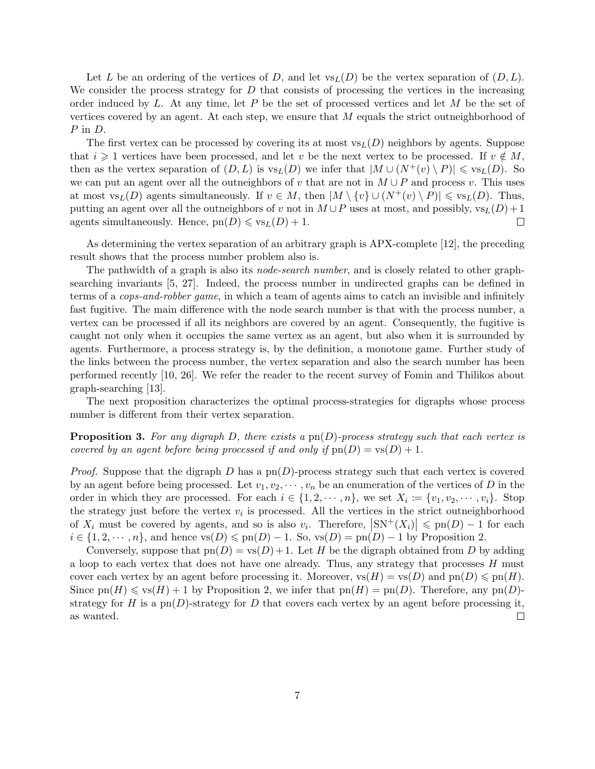Let L be an ordering of the vertices of D, and let  $\text{vs}_L(D)$  be the vertex separation of  $(D, L)$ . We consider the process strategy for  $D$  that consists of processing the vertices in the increasing order induced by L. At any time, let P be the set of processed vertices and let  $M$  be the set of vertices covered by an agent. At each step, we ensure that M equals the strict outneighborhood of P in D.

The first vertex can be processed by covering its at most  $v_{sL}(D)$  neighbors by agents. Suppose that  $i \geq 1$  vertices have been processed, and let v be the next vertex to be processed. If  $v \notin M$ , then as the vertex separation of  $(D, L)$  is  $v_{S}(D)$  we infer that  $|M \cup (N^+(v) \setminus P)| \leq v_{S}(D)$ . So we can put an agent over all the outneighbors of v that are not in  $M \cup P$  and process v. This uses at most vs<sub>L</sub>(D) agents simultaneously. If  $v \in M$ , then  $|M \setminus \{v\} \cup (N^+(v) \setminus P)| \leqslant \text{vs}_L(D)$ . Thus, putting an agent over all the outneighbors of v not in  $M \cup P$  uses at most, and possibly,  $\mathrm{vs}_L(D) + 1$ agents simultaneously. Hence,  $pn(D) \leqslant vs_L(D) + 1$ .  $\Box$ 

As determining the vertex separation of an arbitrary graph is APX-complete [12], the preceding result shows that the process number problem also is.

The pathwidth of a graph is also its *node-search number*, and is closely related to other graphsearching invariants [5, 27]. Indeed, the process number in undirected graphs can be defined in terms of a cops-and-robber game, in which a team of agents aims to catch an invisible and infinitely fast fugitive. The main difference with the node search number is that with the process number, a vertex can be processed if all its neighbors are covered by an agent. Consequently, the fugitive is caught not only when it occupies the same vertex as an agent, but also when it is surrounded by agents. Furthermore, a process strategy is, by the definition, a monotone game. Further study of the links between the process number, the vertex separation and also the search number has been performed recently [10, 26]. We refer the reader to the recent survey of Fomin and Thilikos about graph-searching [13].

The next proposition characterizes the optimal process-strategies for digraphs whose process number is different from their vertex separation.

**Proposition 3.** For any digraph D, there exists a  $pn(D)$ -process strategy such that each vertex is covered by an agent before being processed if and only if  $pn(D) = vs(D) + 1$ .

*Proof.* Suppose that the digraph D has a pn(D)-process strategy such that each vertex is covered by an agent before being processed. Let  $v_1, v_2, \dots, v_n$  be an enumeration of the vertices of D in the order in which they are processed. For each  $i \in \{1, 2, \dots, n\}$ , we set  $X_i := \{v_1, v_2, \dots, v_i\}$ . Stop the strategy just before the vertex  $v_i$  is processed. All the vertices in the strict outneighborhood of  $X_i$  must be covered by agents, and so is also  $v_i$ . Therefore,  $|SN^+(X_i)| \leq pn(D) - 1$  for each  $i \in \{1, 2, \dots, n\}$ , and hence  $\text{vs}(D) \leq \text{pn}(D) - 1$ . So,  $\text{vs}(D) = \text{pn}(D) - 1$  by Proposition 2.

Conversely, suppose that  $pn(D) = vs(D) + 1$ . Let H be the digraph obtained from D by adding a loop to each vertex that does not have one already. Thus, any strategy that processes H must cover each vertex by an agent before processing it. Moreover,  $\text{vs}(H) = \text{vs}(D)$  and  $\text{pn}(D) \leqslant \text{pn}(H)$ . Since  $pn(H) \leqslant vs(H) + 1$  by Proposition 2, we infer that  $pn(H) = pn(D)$ . Therefore, any  $pn(D)$ strategy for H is a  $pn(D)$ -strategy for D that covers each vertex by an agent before processing it, as wanted.  $\Box$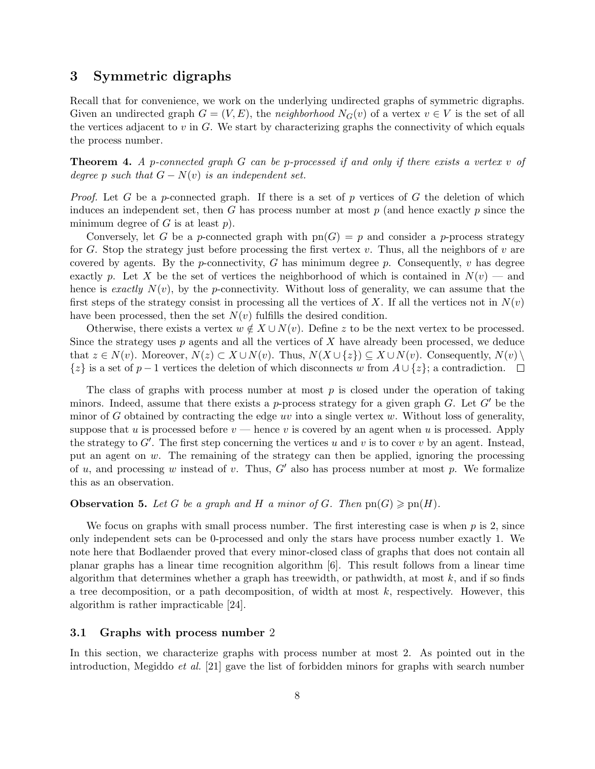## 3 Symmetric digraphs

Recall that for convenience, we work on the underlying undirected graphs of symmetric digraphs. Given an undirected graph  $G = (V, E)$ , the neighborhood  $N_G(v)$  of a vertex  $v \in V$  is the set of all the vertices adjacent to  $v$  in  $G$ . We start by characterizing graphs the connectivity of which equals the process number.

**Theorem 4.** A p-connected graph G can be p-processed if and only if there exists a vertex v of degree p such that  $G - N(v)$  is an independent set.

*Proof.* Let G be a p-connected graph. If there is a set of p vertices of G the deletion of which induces an independent set, then G has process number at most  $p$  (and hence exactly  $p$  since the minimum degree of  $G$  is at least  $p$ ).

Conversely, let G be a p-connected graph with  $pn(G) = p$  and consider a p-process strategy for G. Stop the strategy just before processing the first vertex  $v$ . Thus, all the neighbors of  $v$  are covered by agents. By the p-connectivity, G has minimum degree p. Consequently,  $v$  has degree exactly p. Let X be the set of vertices the neighborhood of which is contained in  $N(v)$  — and hence is exactly  $N(v)$ , by the p-connectivity. Without loss of generality, we can assume that the first steps of the strategy consist in processing all the vertices of X. If all the vertices not in  $N(v)$ have been processed, then the set  $N(v)$  fulfills the desired condition.

Otherwise, there exists a vertex  $w \notin X \cup N(v)$ . Define z to be the next vertex to be processed. Since the strategy uses  $p$  agents and all the vertices of  $X$  have already been processed, we deduce that  $z \in N(v)$ . Moreover,  $N(z) \subset X \cup N(v)$ . Thus,  $N(X \cup \{z\}) \subseteq X \cup N(v)$ . Consequently,  $N(v) \setminus$  $\{z\}$  is a set of  $p-1$  vertices the deletion of which disconnects w from  $A \cup \{z\}$ ; a contradiction.  $\square$ 

The class of graphs with process number at most  $p$  is closed under the operation of taking minors. Indeed, assume that there exists a p-process strategy for a given graph G. Let  $G'$  be the minor of G obtained by contracting the edge uv into a single vertex  $w$ . Without loss of generality, suppose that u is processed before  $v$  — hence v is covered by an agent when u is processed. Apply the strategy to  $G'$ . The first step concerning the vertices u and v is to cover v by an agent. Instead, put an agent on  $w$ . The remaining of the strategy can then be applied, ignoring the processing of u, and processing w instead of v. Thus, G' also has process number at most p. We formalize this as an observation.

**Observation 5.** Let G be a graph and H a minor of G. Then  $\text{pn}(G) \geqslant \text{pn}(H)$ .

We focus on graphs with small process number. The first interesting case is when  $p$  is 2, since only independent sets can be 0-processed and only the stars have process number exactly 1. We note here that Bodlaender proved that every minor-closed class of graphs that does not contain all planar graphs has a linear time recognition algorithm [6]. This result follows from a linear time algorithm that determines whether a graph has treewidth, or pathwidth, at most  $k$ , and if so finds a tree decomposition, or a path decomposition, of width at most  $k$ , respectively. However, this algorithm is rather impracticable [24].

#### 3.1 Graphs with process number 2

In this section, we characterize graphs with process number at most 2. As pointed out in the introduction, Megiddo et al. [21] gave the list of forbidden minors for graphs with search number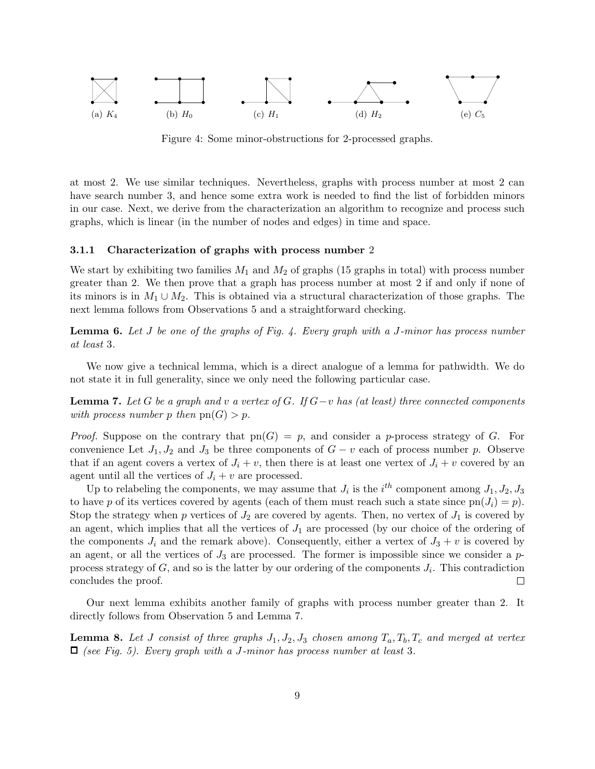

Figure 4: Some minor-obstructions for 2-processed graphs.

at most 2. We use similar techniques. Nevertheless, graphs with process number at most 2 can have search number 3, and hence some extra work is needed to find the list of forbidden minors in our case. Next, we derive from the characterization an algorithm to recognize and process such graphs, which is linear (in the number of nodes and edges) in time and space.

#### 3.1.1 Characterization of graphs with process number 2

We start by exhibiting two families  $M_1$  and  $M_2$  of graphs (15 graphs in total) with process number greater than 2. We then prove that a graph has process number at most 2 if and only if none of its minors is in  $M_1 \cup M_2$ . This is obtained via a structural characterization of those graphs. The next lemma follows from Observations 5 and a straightforward checking.

**Lemma 6.** Let  $J$  be one of the graphs of Fig. 4. Every graph with a  $J$ -minor has process number at least 3.

We now give a technical lemma, which is a direct analogue of a lemma for pathwidth. We do not state it in full generality, since we only need the following particular case.

**Lemma 7.** Let G be a graph and v a vertex of G. If  $G-v$  has (at least) three connected components with process number p then  $pn(G) > p$ .

*Proof.* Suppose on the contrary that  $pn(G) = p$ , and consider a p-process strategy of G. For convenience Let  $J_1, J_2$  and  $J_3$  be three components of  $G - v$  each of process number p. Observe that if an agent covers a vertex of  $J_i + v$ , then there is at least one vertex of  $J_i + v$  covered by an agent until all the vertices of  $J_i + v$  are processed.

Up to relabeling the components, we may assume that  $J_i$  is the  $i^{th}$  component among  $J_1, J_2, J_3$ to have p of its vertices covered by agents (each of them must reach such a state since  $pn(J_i) = p$ ). Stop the strategy when p vertices of  $J_2$  are covered by agents. Then, no vertex of  $J_1$  is covered by an agent, which implies that all the vertices of  $J_1$  are processed (by our choice of the ordering of the components  $J_i$  and the remark above). Consequently, either a vertex of  $J_3 + v$  is covered by an agent, or all the vertices of  $J_3$  are processed. The former is impossible since we consider a  $p$ process strategy of  $G$ , and so is the latter by our ordering of the components  $J_i$ . This contradiction concludes the proof.  $\Box$ 

Our next lemma exhibits another family of graphs with process number greater than 2. It directly follows from Observation 5 and Lemma 7.

**Lemma 8.** Let J consist of three graphs  $J_1, J_2, J_3$  chosen among  $T_a, T_b, T_c$  and merged at vertex  $\Box$  (see Fig. 5). Every graph with a J-minor has process number at least 3.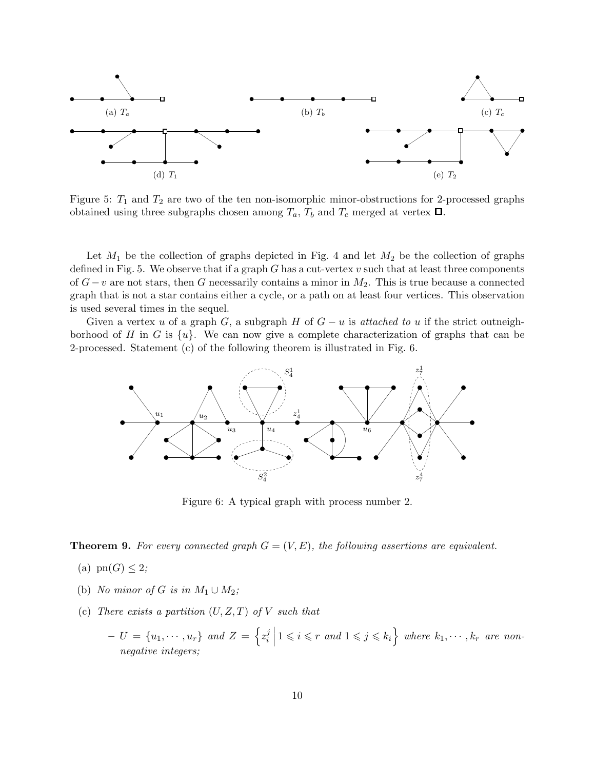

Figure 5:  $T_1$  and  $T_2$  are two of the ten non-isomorphic minor-obstructions for 2-processed graphs obtained using three subgraphs chosen among  $T_a$ ,  $T_b$  and  $T_c$  merged at vertex  $\Box$ .

Let  $M_1$  be the collection of graphs depicted in Fig. 4 and let  $M_2$  be the collection of graphs defined in Fig. 5. We observe that if a graph G has a cut-vertex  $v$  such that at least three components of  $G-v$  are not stars, then G necessarily contains a minor in  $M_2$ . This is true because a connected graph that is not a star contains either a cycle, or a path on at least four vertices. This observation is used several times in the sequel.

Given a vertex u of a graph G, a subgraph H of  $G - u$  is attached to u if the strict outneighborhood of H in G is  $\{u\}$ . We can now give a complete characterization of graphs that can be 2-processed. Statement (c) of the following theorem is illustrated in Fig. 6.



Figure 6: A typical graph with process number 2.

**Theorem 9.** For every connected graph  $G = (V, E)$ , the following assertions are equivalent.

- (a)  $\text{pn}(G) \leq 2$ ;
- (b) No minor of G is in  $M_1 \cup M_2$ ;
- (c) There exists a partition  $(U, Z, T)$  of V such that
	- $U = \{u_1, \cdots, u_r\}$  and  $Z = \{z_i^j\}$  $\mathbb{E}_{i}^{j} | 1 \leqslant i \leqslant r$  and  $1 \leqslant j \leqslant k_{i}$  where  $k_{1}, \cdots, k_{r}$  are nonnegative integers;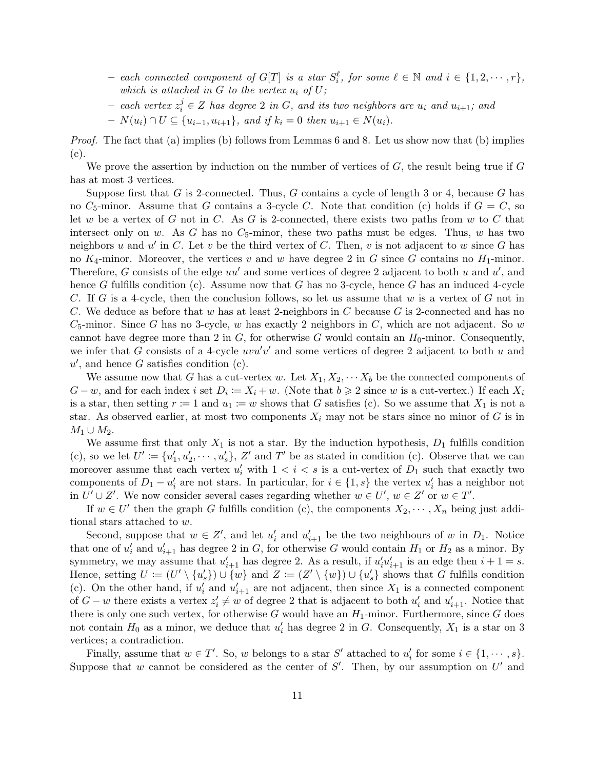- $-$  each connected component of  $G[T]$  is a star  $S_i^{\ell}$ , for some  $\ell \in \mathbb{N}$  and  $i \in \{1, 2, \cdots, r\}$ , which is attached in  $G$  to the vertex  $u_i$  of  $U$ ;
- − each vertex  $z_i^j$  ∈ Z has degree 2 in G, and its two neighbors are  $u_i$  and  $u_{i+1}$ ; and
- $N(u_i) ∩ U ⊆ \{u_{i-1}, u_{i+1}\}, and if k_i = 0 then u_{i+1} ∈ N(u_i).$

Proof. The fact that (a) implies (b) follows from Lemmas 6 and 8. Let us show now that (b) implies (c).

We prove the assertion by induction on the number of vertices of  $G$ , the result being true if  $G$ has at most 3 vertices.

Suppose first that G is 2-connected. Thus, G contains a cycle of length 3 or 4, because G has no  $C_5$ -minor. Assume that G contains a 3-cycle C. Note that condition (c) holds if  $G = C$ , so let w be a vertex of G not in C. As G is 2-connected, there exists two paths from w to C that intersect only on w. As G has no  $C_5$ -minor, these two paths must be edges. Thus, w has two neighbors u and u' in C. Let v be the third vertex of C. Then, v is not adjacent to w since G has no  $K_4$ -minor. Moreover, the vertices v and w have degree 2 in G since G contains no  $H_1$ -minor. Therefore, G consists of the edge  $uu'$  and some vertices of degree 2 adjacent to both u and  $u'$ , and hence G fulfills condition (c). Assume now that G has no 3-cycle, hence G has an induced 4-cycle C. If G is a 4-cycle, then the conclusion follows, so let us assume that w is a vertex of G not in C. We deduce as before that w has at least 2-neighbors in C because G is 2-connected and has no  $C_5$ -minor. Since G has no 3-cycle, w has exactly 2 neighbors in C, which are not adjacent. So w cannot have degree more than 2 in  $G$ , for otherwise G would contain an  $H_0$ -minor. Consequently, we infer that G consists of a 4-cycle  $uvw'v'$  and some vertices of degree 2 adjacent to both u and  $u'$ , and hence G satisfies condition (c).

We assume now that G has a cut-vertex w. Let  $X_1, X_2, \cdots X_b$  be the connected components of  $G - w$ , and for each index i set  $D_i := X_i + w$ . (Note that  $b \geq 2$  since w is a cut-vertex.) If each  $X_i$ is a star, then setting  $r := 1$  and  $u_1 := w$  shows that G satisfies (c). So we assume that  $X_1$  is not a star. As observed earlier, at most two components  $X_i$  may not be stars since no minor of G is in  $M_1 \cup M_2$ .

We assume first that only  $X_1$  is not a star. By the induction hypothesis,  $D_1$  fulfills condition (c), so we let  $U' \coloneqq \{u'_1, u'_2, \cdots, u'_s\}$ , Z' and T' be as stated in condition (c). Observe that we can moreover assume that each vertex  $u'_i$  with  $1 < i < s$  is a cut-vertex of  $D_1$  such that exactly two components of  $D_1 - u'_i$  are not stars. In particular, for  $i \in \{1, s\}$  the vertex  $u'_i$  has a neighbor not in  $U' \cup Z'$ . We now consider several cases regarding whether  $w \in U'$ ,  $w \in Z'$  or  $w \in T'$ .

If  $w \in U'$  then the graph G fulfills condition (c), the components  $X_2, \dots, X_n$  being just additional stars attached to w.

Second, suppose that  $w \in Z'$ , and let  $u'_i$  and  $u'_{i+1}$  be the two neighbours of w in  $D_1$ . Notice that one of  $u'_i$  and  $u'_{i+1}$  has degree 2 in G, for otherwise G would contain  $H_1$  or  $H_2$  as a minor. By symmetry, we may assume that  $u'_{i+1}$  has degree 2. As a result, if  $u'_i u'_{i+1}$  is an edge then  $i + 1 = s$ . Hence, setting  $U := (U' \setminus \{u'_s\}) \cup \{w\}$  and  $Z := (Z' \setminus \{w\}) \cup \{u'_s\}$  shows that G fulfills condition (c). On the other hand, if  $u'_i$  and  $u'_{i+1}$  are not adjacent, then since  $X_1$  is a connected component of  $G - w$  there exists a vertex  $z_i' \neq w$  of degree 2 that is adjacent to both  $u_i'$  and  $u_{i+1}'$ . Notice that there is only one such vertex, for otherwise G would have an  $H_1$ -minor. Furthermore, since G does not contain  $H_0$  as a minor, we deduce that  $u'_i$  has degree 2 in G. Consequently,  $X_1$  is a star on 3 vertices; a contradiction.

Finally, assume that  $w \in T'$ . So, w belongs to a star S' attached to  $u'_i$  for some  $i \in \{1, \dots, s\}$ . Suppose that w cannot be considered as the center of  $S'$ . Then, by our assumption on  $U'$  and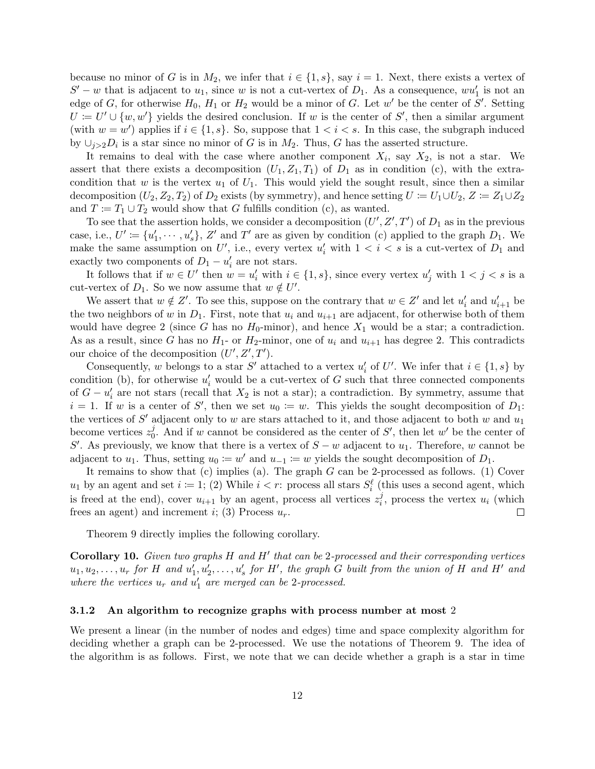because no minor of G is in  $M_2$ , we infer that  $i \in \{1, s\}$ , say  $i = 1$ . Next, there exists a vertex of  $S' - w$  that is adjacent to  $u_1$ , since w is not a cut-vertex of  $D_1$ . As a consequence,  $wu'_1$  is not an edge of G, for otherwise  $H_0$ ,  $H_1$  or  $H_2$  would be a minor of G. Let w' be the center of S'. Setting  $U := U' \cup \{w, w'\}$  yields the desired conclusion. If w is the center of S', then a similar argument (with  $w = w'$ ) applies if  $i \in \{1, s\}$ . So, suppose that  $1 < i < s$ . In this case, the subgraph induced by  $\cup_{j>2} D_i$  is a star since no minor of G is in  $M_2$ . Thus, G has the asserted structure.

It remains to deal with the case where another component  $X_i$ , say  $X_2$ , is not a star. We assert that there exists a decomposition  $(U_1, Z_1, T_1)$  of  $D_1$  as in condition (c), with the extracondition that w is the vertex  $u_1$  of  $U_1$ . This would yield the sought result, since then a similar decomposition  $(U_2, Z_2, T_2)$  of  $D_2$  exists (by symmetry), and hence setting  $U := U_1 \cup U_2$ ,  $Z := Z_1 \cup Z_2$ and  $T := T_1 \cup T_2$  would show that G fulfills condition (c), as wanted.

To see that the assertion holds, we consider a decomposition  $(U', Z', T')$  of  $D_1$  as in the previous case, i.e.,  $U' \coloneqq \{u'_1, \cdots, u'_s\}, Z'$  and  $T'$  are as given by condition (c) applied to the graph  $D_1$ . We make the same assumption on U', i.e., every vertex  $u'_i$  with  $1 < i < s$  is a cut-vertex of  $D_1$  and exactly two components of  $D_1 - u'_i$  are not stars.

It follows that if  $w \in U'$  then  $w = u'_i$  with  $i \in \{1, s\}$ , since every vertex  $u'_j$  with  $1 < j < s$  is a cut-vertex of  $D_1$ . So we now assume that  $w \notin U'$ .

We assert that  $w \notin Z'$ . To see this, suppose on the contrary that  $w \in Z'$  and let  $u'_i$  and  $u'_{i+1}$  be the two neighbors of w in  $D_1$ . First, note that  $u_i$  and  $u_{i+1}$  are adjacent, for otherwise both of them would have degree 2 (since G has no  $H_0$ -minor), and hence  $X_1$  would be a star; a contradiction. As as a result, since G has no  $H_1$ - or  $H_2$ -minor, one of  $u_i$  and  $u_{i+1}$  has degree 2. This contradicts our choice of the decomposition  $(U', Z', T')$ .

Consequently, w belongs to a star S' attached to a vertex  $u'_i$  of U'. We infer that  $i \in \{1, s\}$  by condition (b), for otherwise  $u'_i$  would be a cut-vertex of G such that three connected components of  $G - u_i'$  are not stars (recall that  $X_2$  is not a star); a contradiction. By symmetry, assume that  $i = 1$ . If w is a center of S', then we set  $u_0 \coloneqq w$ . This yields the sought decomposition of  $D_1$ : the vertices of  $S'$  adjacent only to w are stars attached to it, and those adjacent to both w and  $u_1$ become vertices  $z_0^j$  $\phi$ . And if w cannot be considered as the center of S', then let w' be the center of S'. As previously, we know that there is a vertex of  $S - w$  adjacent to  $u_1$ . Therefore, w cannot be adjacent to  $u_1$ . Thus, setting  $u_0 \coloneqq w'$  and  $u_{-1} \coloneqq w$  yields the sought decomposition of  $D_1$ .

It remains to show that  $(c)$  implies (a). The graph  $G$  can be 2-processed as follows. (1) Cover  $u_1$  by an agent and set  $i := 1$ ; (2) While  $i < r$ : process all stars  $S_i^{\ell}$  (this uses a second agent, which is freed at the end), cover  $u_{i+1}$  by an agent, process all vertices  $z_i^j$  $i<sub>i</sub>$ , process the vertex  $u<sub>i</sub>$  (which frees an agent) and increment i; (3) Process  $u_r$ .  $\Box$ 

Theorem 9 directly implies the following corollary.

**Corollary 10.** Given two graphs  $H$  and  $H'$  that can be 2-processed and their corresponding vertices  $u_1, u_2, \ldots, u_r$  for H and  $u'_1, u'_2, \ldots, u'_s$  for H', the graph G built from the union of H and H' and where the vertices  $u_r$  and  $u'_1$  are merged can be 2-processed.

#### 3.1.2 An algorithm to recognize graphs with process number at most 2

We present a linear (in the number of nodes and edges) time and space complexity algorithm for deciding whether a graph can be 2-processed. We use the notations of Theorem 9. The idea of the algorithm is as follows. First, we note that we can decide whether a graph is a star in time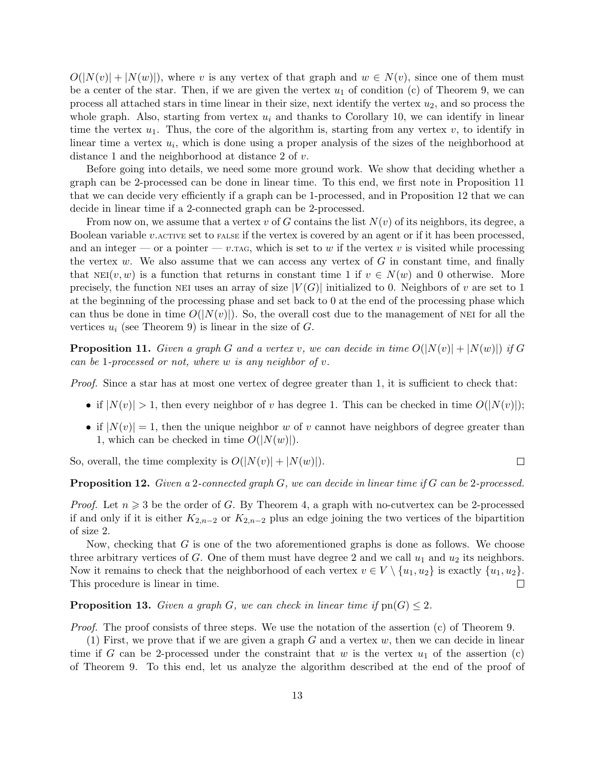$O(|N(v)| + |N(w)|)$ , where v is any vertex of that graph and  $w \in N(v)$ , since one of them must be a center of the star. Then, if we are given the vertex  $u_1$  of condition (c) of Theorem 9, we can process all attached stars in time linear in their size, next identify the vertex  $u_2$ , and so process the whole graph. Also, starting from vertex  $u_i$  and thanks to Corollary 10, we can identify in linear time the vertex  $u_1$ . Thus, the core of the algorithm is, starting from any vertex  $v$ , to identify in linear time a vertex  $u_i$ , which is done using a proper analysis of the sizes of the neighborhood at distance 1 and the neighborhood at distance 2 of v.

Before going into details, we need some more ground work. We show that deciding whether a graph can be 2-processed can be done in linear time. To this end, we first note in Proposition 11 that we can decide very efficiently if a graph can be 1-processed, and in Proposition 12 that we can decide in linear time if a 2-connected graph can be 2-processed.

From now on, we assume that a vertex v of G contains the list  $N(v)$  of its neighbors, its degree, a Boolean variable  $v.\text{acitive set to False if the vertex is covered by an agent or if it has been processed, }$ and an integer — or a pointer — v. TAG, which is set to w if the vertex v is visited while processing the vertex  $w$ . We also assume that we can access any vertex of  $G$  in constant time, and finally that  $NEI(v, w)$  is a function that returns in constant time 1 if  $v \in N(w)$  and 0 otherwise. More precisely, the function NEI uses an array of size  $|V(G)|$  initialized to 0. Neighbors of v are set to 1 at the beginning of the processing phase and set back to 0 at the end of the processing phase which can thus be done in time  $O(|N(v)|)$ . So, the overall cost due to the management of NEI for all the vertices  $u_i$  (see Theorem 9) is linear in the size of  $G$ .

**Proposition 11.** Given a graph G and a vertex v, we can decide in time  $O(|N(v)| + |N(w)|)$  if G can be 1-processed or not, where  $w$  is any neighbor of  $v$ .

Proof. Since a star has at most one vertex of degree greater than 1, it is sufficient to check that:

- if  $|N(v)| > 1$ , then every neighbor of v has degree 1. This can be checked in time  $O(|N(v)|)$ ;
- if  $|N(v)| = 1$ , then the unique neighbor w of v cannot have neighbors of degree greater than 1, which can be checked in time  $O(|N(w)|)$ .

 $\Box$ 

So, overall, the time complexity is  $O(|N(v)| + |N(w)|)$ .

**Proposition 12.** Given a 2-connected graph G, we can decide in linear time if G can be 2-processed.

*Proof.* Let  $n \geq 3$  be the order of G. By Theorem 4, a graph with no-cutvertex can be 2-processed if and only if it is either  $K_{2,n-2}$  or  $K_{2,n-2}$  plus an edge joining the two vertices of the bipartition of size 2.

Now, checking that  $G$  is one of the two aforementioned graphs is done as follows. We choose three arbitrary vertices of G. One of them must have degree 2 and we call  $u_1$  and  $u_2$  its neighbors. Now it remains to check that the neighborhood of each vertex  $v \in V \setminus \{u_1, u_2\}$  is exactly  $\{u_1, u_2\}$ .  $\Box$ This procedure is linear in time.

**Proposition 13.** Given a graph G, we can check in linear time if  $\text{pn}(G) \leq 2$ .

Proof. The proof consists of three steps. We use the notation of the assertion (c) of Theorem 9.

(1) First, we prove that if we are given a graph  $G$  and a vertex  $w$ , then we can decide in linear time if G can be 2-processed under the constraint that w is the vertex  $u_1$  of the assertion (c) of Theorem 9. To this end, let us analyze the algorithm described at the end of the proof of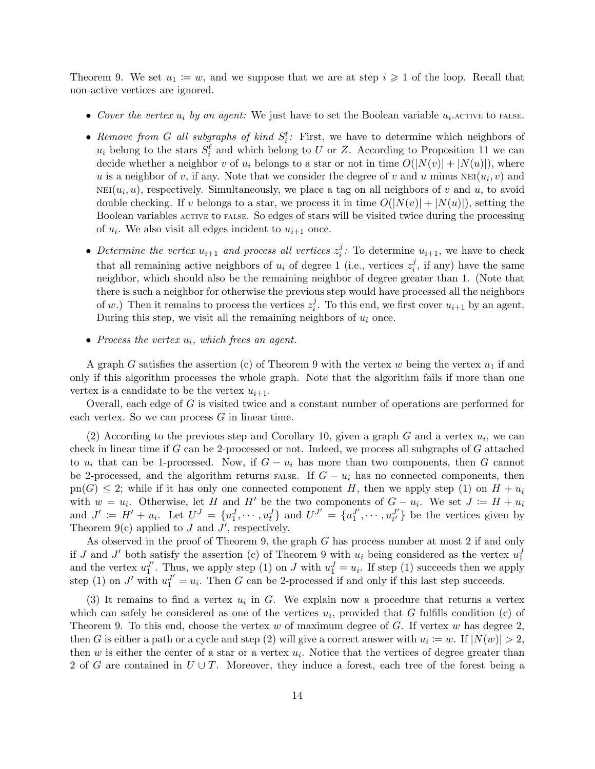Theorem 9. We set  $u_1 := w$ , and we suppose that we are at step  $i \geq 1$  of the loop. Recall that non-active vertices are ignored.

- Cover the vertex  $u_i$  by an agent: We just have to set the Boolean variable  $u_i$ . ACTIVE to FALSE.
- Remove from G all subgraphs of kind  $S_i^{\ell}$ : First, we have to determine which neighbors of  $u_i$  belong to the stars  $S_i^{\ell}$  and which belong to U or Z. According to Proposition 11 we can decide whether a neighbor v of  $u_i$  belongs to a star or not in time  $O(|N(v)| + |N(u)|)$ , where u is a neighbor of v, if any. Note that we consider the degree of v and u minus  $NEI(u_i, v)$  and  $NEI(u_i, u)$ , respectively. Simultaneously, we place a tag on all neighbors of v and u, to avoid double checking. If v belongs to a star, we process it in time  $O(|N(v)| + |N(u)|)$ , setting the Boolean variables active to false. So edges of stars will be visited twice during the processing of  $u_i$ . We also visit all edges incident to  $u_{i+1}$  once.
- Determine the vertex  $u_{i+1}$  and process all vertices  $z_i^j$ <sup>*j*</sup>: To determine  $u_{i+1}$ , we have to check that all remaining active neighbors of  $u_i$  of degree 1 (i.e., vertices  $z_i^j$  $i_j$ , if any) have the same neighbor, which should also be the remaining neighbor of degree greater than 1. (Note that there is such a neighbor for otherwise the previous step would have processed all the neighbors of w.) Then it remains to process the vertices  $z_i^j$  $i<sup>j</sup>$ . To this end, we first cover  $u_{i+1}$  by an agent. During this step, we visit all the remaining neighbors of  $u_i$  once.
- Process the vertex  $u_i$ , which frees an agent.

A graph G satisfies the assertion (c) of Theorem 9 with the vertex w being the vertex  $u_1$  if and only if this algorithm processes the whole graph. Note that the algorithm fails if more than one vertex is a candidate to be the vertex  $u_{i+1}$ .

Overall, each edge of G is visited twice and a constant number of operations are performed for each vertex. So we can process G in linear time.

(2) According to the previous step and Corollary 10, given a graph  $G$  and a vertex  $u_i$ , we can check in linear time if G can be 2-processed or not. Indeed, we process all subgraphs of G attached to  $u_i$  that can be 1-processed. Now, if  $G - u_i$  has more than two components, then G cannot be 2-processed, and the algorithm returns FALSE. If  $G - u_i$  has no connected components, then  $p(n) \leq 2$ ; while if it has only one connected component H, then we apply step (1) on  $H + u_i$ with  $w = u_i$ . Otherwise, let H and H' be the two components of  $G - u_i$ . We set  $J := H + u_i$ and  $J' := H' + u_i$ . Let  $U^J = \{u_1^J, \dots, u_t^J\}$  and  $U^{J'} = \{u_1^{J'}\}$  $u_1^{J'}, \cdots, u_{t'}^{J'}$  $t'$  be the vertices given by Theorem  $9(c)$  applied to J and J', respectively.

As observed in the proof of Theorem 9, the graph G has process number at most 2 if and only if J and J' both satisfy the assertion (c) of Theorem 9 with  $u_i$  being considered as the vertex  $u_1^J$ and the vertex  $u_1^{J'}$ <sup>J'</sup>. Thus, we apply step (1) on J with  $u_1^J = u_i$ . If step (1) succeeds then we apply step (1) on J' with  $u_1^{J'} = u_i$ . Then G can be 2-processed if and only if this last step succeeds.

(3) It remains to find a vertex  $u_i$  in G. We explain now a procedure that returns a vertex which can safely be considered as one of the vertices  $u_i$ , provided that G fulfills condition (c) of Theorem 9. To this end, choose the vertex w of maximum degree of  $G$ . If vertex w has degree 2, then G is either a path or a cycle and step (2) will give a correct answer with  $u_i := w$ . If  $|N(w)| > 2$ , then  $w$  is either the center of a star or a vertex  $u_i$ . Notice that the vertices of degree greater than 2 of G are contained in  $U \cup T$ . Moreover, they induce a forest, each tree of the forest being a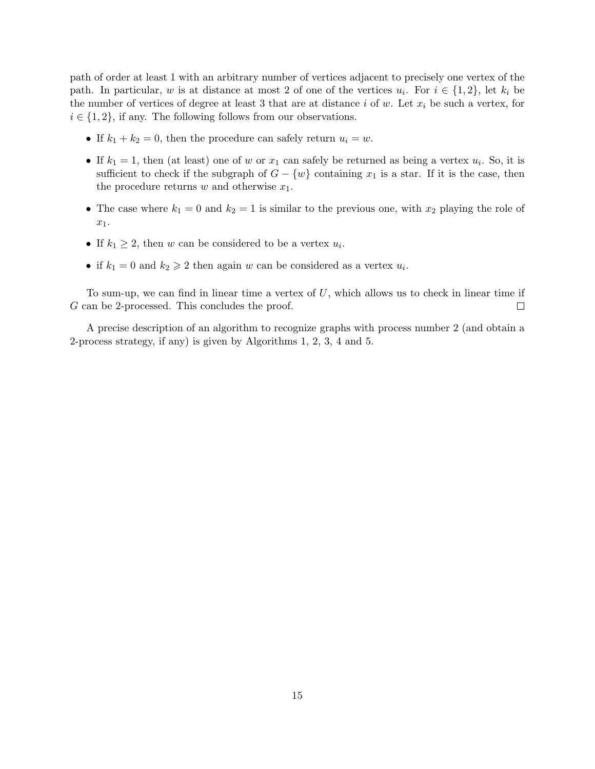path of order at least 1 with an arbitrary number of vertices adjacent to precisely one vertex of the path. In particular, w is at distance at most 2 of one of the vertices  $u_i$ . For  $i \in \{1,2\}$ , let  $k_i$  be the number of vertices of degree at least 3 that are at distance i of w. Let  $x_i$  be such a vertex, for  $i \in \{1, 2\}$ , if any. The following follows from our observations.

- If  $k_1 + k_2 = 0$ , then the procedure can safely return  $u_i = w$ .
- If  $k_1 = 1$ , then (at least) one of w or  $x_1$  can safely be returned as being a vertex  $u_i$ . So, it is sufficient to check if the subgraph of  $G - \{w\}$  containing  $x_1$  is a star. If it is the case, then the procedure returns  $w$  and otherwise  $x_1$ .
- The case where  $k_1 = 0$  and  $k_2 = 1$  is similar to the previous one, with  $x_2$  playing the role of x1.
- If  $k_1 \geq 2$ , then w can be considered to be a vertex  $u_i$ .
- if  $k_1 = 0$  and  $k_2 \ge 2$  then again w can be considered as a vertex  $u_i$ .

To sum-up, we can find in linear time a vertex of  $U$ , which allows us to check in linear time if G can be 2-processed. This concludes the proof.  $\Box$ 

A precise description of an algorithm to recognize graphs with process number 2 (and obtain a 2-process strategy, if any) is given by Algorithms 1, 2, 3, 4 and 5.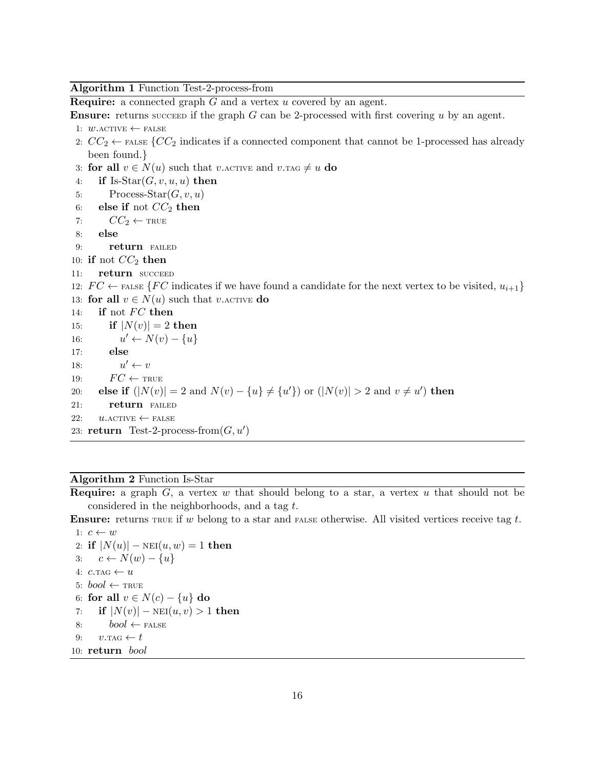Algorithm 1 Function Test-2-process-from

**Require:** a connected graph G and a vertex u covered by an agent.

**Ensure:** returns succeed if the graph G can be 2-processed with first covering u by an agent.

```
1: w.\text{ACTIVE} \leftarrow \text{FALSE}
```
2:  $CC_2 \leftarrow$  FALSE { $CC_2$  indicates if a connected component that cannot be 1-processed has already been found.}

3: for all  $v \in N(u)$  such that v. ACTIVE and v. TAG  $\neq u$  do

- 4: if Is-Star $(G, v, u, u)$  then
- 5: Process-Star $(G, v, u)$
- 6: else if not  $CC_2$  then
- 7:  $CC_2 \leftarrow \text{TRUE}$
- 8: else
- 9: **return** FAILED
- 10: if not  $CC_2$  then
- 11: return SUCCEED

12:  $FC \leftarrow$  FALSE {FC indicates if we have found a candidate for the next vertex to be visited,  $u_{i+1}$ } 13: for all  $v \in N(u)$  such that v. ACTIVE do

14: if not  $FC$  then

- 15: **if**  $|N(v)| = 2$  then
- $16:$  $u' \leftarrow N(v) - \{u\}$
- 17: else
- $18:$  $u' \leftarrow v$
- 19:  $FC \leftarrow \text{TRUE}$
- 20: **else if**  $(|N(v)| = 2$  and  $N(v) \{u\} \neq \{u'\})$  or  $(|N(v)| > 2$  and  $v \neq u'$ ) then
- 21: **return** FAILED
- 22:  $u.\text{ACTIVE} \leftarrow \text{FALSE}$
- 23: return Test-2-process-from $(G, u')$

#### Algorithm 2 Function Is-Star

**Require:** a graph  $G$ , a vertex w that should belong to a star, a vertex u that should not be considered in the neighborhoods, and a tag t.

**Ensure:** returns  $T$ RUE if w belong to a star and  $T$  FALSE otherwise. All visited vertices receive tag t.

```
1: c \leftarrow w2: if |N(u)| - \text{NEI}(u, w) = 1 then
3: c \leftarrow N(w) - \{u\}4: c.\text{TAG} \leftarrow u5: bool \leftarrow TRUE
 6: for all v \in N(c) - \{u\} do
 7: if |N(v)| - \text{NEI}(u, v) > 1 then
 8: bool \leftarrow \text{FALSE}9: v.\text{TAG} \leftarrow t10: return bool
```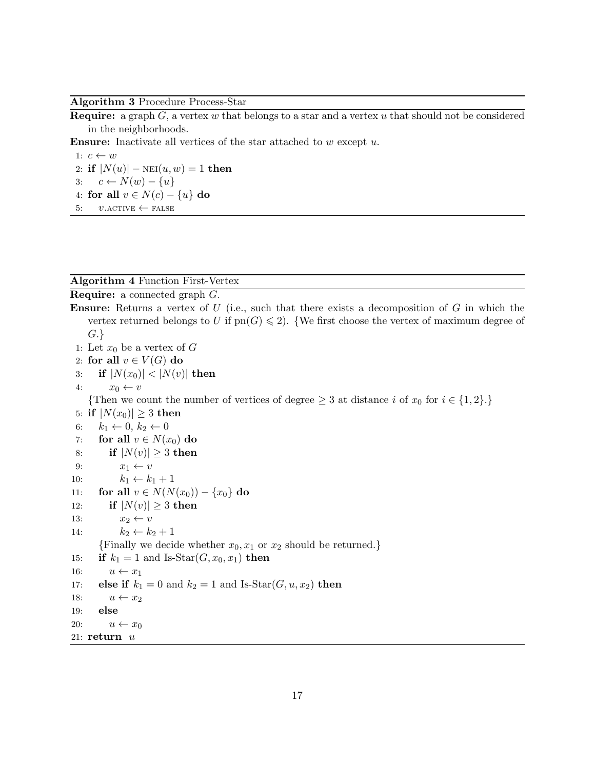#### Algorithm 3 Procedure Process-Star

**Require:** a graph  $G$ , a vertex w that belongs to a star and a vertex u that should not be considered in the neighborhoods.

**Ensure:** Inactivate all vertices of the star attached to  $w$  except  $u$ .

1:  $c \leftarrow w$ 2: if  $|N(u)| - \text{NEI}(u, w) = 1$  then 3:  $c \leftarrow N(w) - \{u\}$ 4: for all  $v \in N(c) - \{u\}$  do 5:  $v \text{.}$  ACTIVE  $\leftarrow$  FALSE

#### Algorithm 4 Function First-Vertex

Require: a connected graph G. **Ensure:** Returns a vertex of  $U$  (i.e., such that there exists a decomposition of  $G$  in which the vertex returned belongs to U if  $pn(G) \leq 2$ . {We first choose the vertex of maximum degree of G.} 1: Let  $x_0$  be a vertex of G 2: for all  $v \in V(G)$  do 3: if  $|N(x_0)| < |N(v)|$  then 4:  $x_0 \leftarrow v$ {Then we count the number of vertices of degree  $\geq 3$  at distance i of  $x_0$  for  $i \in \{1,2\}$ .} 5: if  $|N(x_0)| \geq 3$  then 6:  $k_1 \leftarrow 0, k_2 \leftarrow 0$ 7: for all  $v \in N(x_0)$  do 8: if  $|N(v)| \geq 3$  then 9:  $x_1 \leftarrow v$ 10:  $k_1 \leftarrow k_1 + 1$ 11: **for all**  $v \in N(N(x_0)) - \{x_0\}$  do 12: if  $|N(v)| \geq 3$  then 13:  $x_2 \leftarrow v$ 14:  $k_2 \leftarrow k_2 + 1$ {Finally we decide whether  $x_0, x_1$  or  $x_2$  should be returned.} 15: if  $k_1 = 1$  and Is-Star $(G, x_0, x_1)$  then 16:  $u \leftarrow x_1$ 17: **else if**  $k_1 = 0$  and  $k_2 = 1$  and Is-Star( $G, u, x_2$ ) then 18:  $u \leftarrow x_2$ 19: else 20:  $u \leftarrow x_0$ 21:  $return u$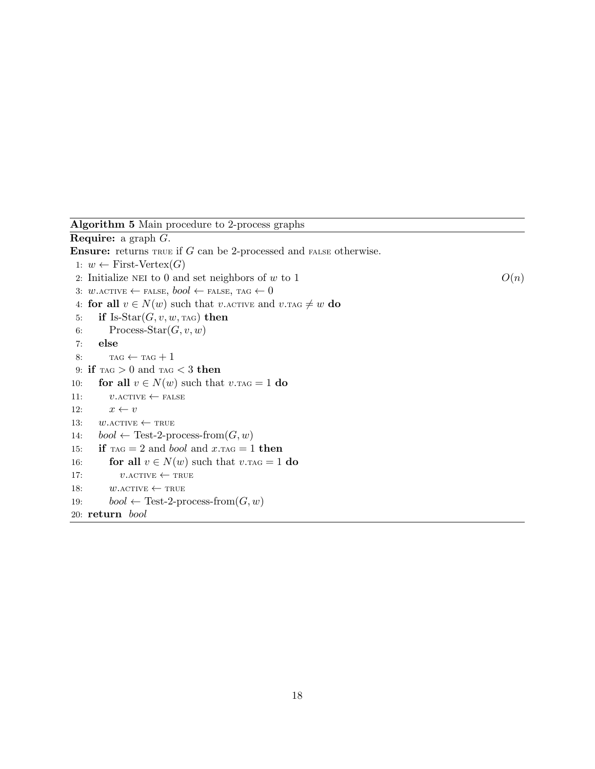Algorithm 5 Main procedure to 2-process graphs

Require: a graph G. **Ensure:** returns  $T_{RUE}$  if  $G$  can be 2-processed and  $T_{RUE}$  otherwise. 1:  $w \leftarrow$  First-Vertex(*G*) 2: Initialize NEI to 0 and set neighbors of w to 1  $O(n)$ 3:  $w.\text{ACTIVE} \leftarrow \text{FALSE}, \text{bool} \leftarrow \text{FALSE}, \text{TAG} \leftarrow 0$ 4: for all  $v \in N(w)$  such that v. ACTIVE and  $v$ . TAG  $\neq w$  do 5: if Is-Star $(G, v, w, \text{rad})$  then 6: Process-Star $(G, v, w)$ 7: else 8:  $TAG \leftarrow TAG + 1$ 9: if  $\text{TAG} > 0$  and  $\text{TAG} < 3$  then 10: **for all**  $v \in N(w)$  such that  $v.\text{TAG} = 1$  do 11:  $v \text{.} \text{ACTIVE} \leftarrow \text{FALSE}$ 12:  $x \leftarrow v$ 13:  $w.\text{ACTIVE} \leftarrow \text{TRUE}$ 14:  $bool \leftarrow Test\text{-}2\text{-}process\text{-}from(G, w)$ 15: if  $\text{rad} = 2$  and *bool* and  $x.\text{rad} = 1$  then 16: **for all**  $v \in N(w)$  such that  $v.\text{TAG} = 1$  **do** 17:  $v \text{.} \text{ACTIVE} \leftarrow \text{TRUE}$ 18:  $w.\text{ACTIVE} \leftarrow \text{TRUE}$ 19:  $bool \leftarrow Test\text{-}2\text{-}process\text{-}from(G, w)$ 20: return bool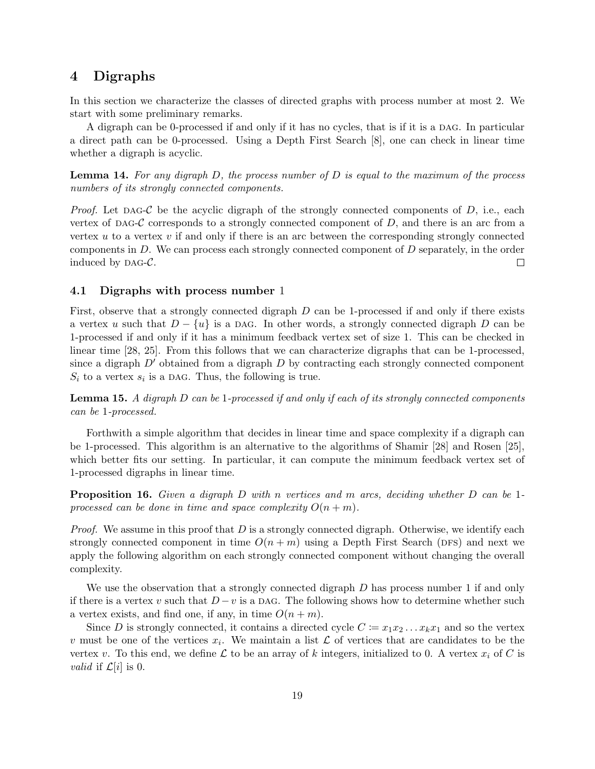## 4 Digraphs

In this section we characterize the classes of directed graphs with process number at most 2. We start with some preliminary remarks.

A digraph can be 0-processed if and only if it has no cycles, that is if it is a dag. In particular a direct path can be 0-processed. Using a Depth First Search [8], one can check in linear time whether a digraph is acyclic.

**Lemma 14.** For any digraph  $D$ , the process number of  $D$  is equal to the maximum of the process numbers of its strongly connected components.

*Proof.* Let DAG-C be the acyclic digraph of the strongly connected components of D, i.e., each vertex of DAG-C corresponds to a strongly connected component of  $D$ , and there is an arc from a vertex  $u$  to a vertex  $v$  if and only if there is an arc between the corresponding strongly connected components in D. We can process each strongly connected component of D separately, in the order induced by  $\text{DAG-}\mathcal{C}$ .  $\Box$ 

#### 4.1 Digraphs with process number 1

First, observe that a strongly connected digraph D can be 1-processed if and only if there exists a vertex u such that  $D - \{u\}$  is a DAG. In other words, a strongly connected digraph D can be 1-processed if and only if it has a minimum feedback vertex set of size 1. This can be checked in linear time [28, 25]. From this follows that we can characterize digraphs that can be 1-processed, since a digraph  $D'$  obtained from a digraph D by contracting each strongly connected component  $S_i$  to a vertex  $s_i$  is a DAG. Thus, the following is true.

**Lemma 15.** A digraph  $D$  can be 1-processed if and only if each of its strongly connected components can be 1-processed.

Forthwith a simple algorithm that decides in linear time and space complexity if a digraph can be 1-processed. This algorithm is an alternative to the algorithms of Shamir [28] and Rosen [25], which better fits our setting. In particular, it can compute the minimum feedback vertex set of 1-processed digraphs in linear time.

**Proposition 16.** Given a digraph D with n vertices and m arcs, deciding whether D can be 1processed can be done in time and space complexity  $O(n+m)$ .

*Proof.* We assume in this proof that D is a strongly connected digraph. Otherwise, we identify each strongly connected component in time  $O(n + m)$  using a Depth First Search (DFS) and next we apply the following algorithm on each strongly connected component without changing the overall complexity.

We use the observation that a strongly connected digraph D has process number 1 if and only if there is a vertex v such that  $D - v$  is a DAG. The following shows how to determine whether such a vertex exists, and find one, if any, in time  $O(n+m)$ .

Since D is strongly connected, it contains a directed cycle  $C := x_1 x_2 \dots x_k x_1$  and so the vertex v must be one of the vertices  $x_i$ . We maintain a list  $\mathcal L$  of vertices that are candidates to be the vertex v. To this end, we define L to be an array of k integers, initialized to 0. A vertex  $x_i$  of C is *valid* if  $\mathcal{L}[i]$  is 0.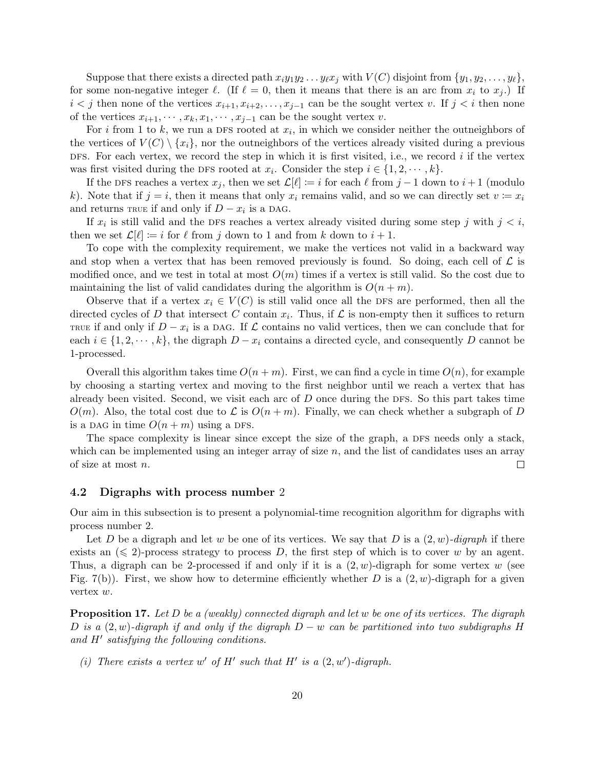Suppose that there exists a directed path  $x_iy_1y_2 \ldots y_{\ell}x_j$  with  $V(C)$  disjoint from  $\{y_1, y_2, \ldots, y_{\ell}\},$ for some non-negative integer  $\ell$ . (If  $\ell = 0$ , then it means that there is an arc from  $x_i$  to  $x_j$ .) If  $i < j$  then none of the vertices  $x_{i+1}, x_{i+2}, \ldots, x_{j-1}$  can be the sought vertex v. If  $j < i$  then none of the vertices  $x_{i+1}, \dots, x_k, x_1, \dots, x_{j-1}$  can be the sought vertex v.

For i from 1 to k, we run a DFS rooted at  $x_i$ , in which we consider neither the outneighbors of the vertices of  $V(C) \setminus \{x_i\}$ , nor the outneighbors of the vertices already visited during a previous DFS. For each vertex, we record the step in which it is first visited, i.e., we record  $i$  if the vertex was first visited during the DFS rooted at  $x_i$ . Consider the step  $i \in \{1, 2, \dots, k\}$ .

If the DFS reaches a vertex  $x_j$ , then we set  $\mathcal{L}[\ell] := i$  for each  $\ell$  from  $j - 1$  down to  $i + 1$  (modulo k). Note that if  $j = i$ , then it means that only  $x_i$  remains valid, and so we can directly set  $v := x_i$ and returns  $\text{true}$  if and only if  $D - x_i$  is a DAG.

If  $x_i$  is still valid and the DFS reaches a vertex already visited during some step j with  $j < i$ , then we set  $\mathcal{L}[\ell] := i$  for  $\ell$  from j down to 1 and from k down to  $i + 1$ .

To cope with the complexity requirement, we make the vertices not valid in a backward way and stop when a vertex that has been removed previously is found. So doing, each cell of  $\mathcal L$  is modified once, and we test in total at most  $O(m)$  times if a vertex is still valid. So the cost due to maintaining the list of valid candidates during the algorithm is  $O(n + m)$ .

Observe that if a vertex  $x_i \in V(C)$  is still valid once all the DFS are performed, then all the directed cycles of D that intersect C contain  $x_i$ . Thus, if  $\mathcal L$  is non-empty then it suffices to return TRUE if and only if  $D - x_i$  is a DAG. If  $\mathcal L$  contains no valid vertices, then we can conclude that for each  $i \in \{1, 2, \dots, k\}$ , the digraph  $D - x_i$  contains a directed cycle, and consequently D cannot be 1-processed.

Overall this algorithm takes time  $O(n + m)$ . First, we can find a cycle in time  $O(n)$ , for example by choosing a starting vertex and moving to the first neighbor until we reach a vertex that has already been visited. Second, we visit each arc of  $D$  once during the DFS. So this part takes time  $O(m)$ . Also, the total cost due to  $\mathcal L$  is  $O(n+m)$ . Finally, we can check whether a subgraph of D is a DAG in time  $O(n + m)$  using a DFS.

The space complexity is linear since except the size of the graph, a DFS needs only a stack, which can be implemented using an integer array of size  $n$ , and the list of candidates uses an array of size at most n.  $\Box$ 

#### 4.2 Digraphs with process number 2

Our aim in this subsection is to present a polynomial-time recognition algorithm for digraphs with process number 2.

Let D be a digraph and let w be one of its vertices. We say that D is a  $(2, w)$ -digraph if there exists an  $(\leq 2)$ -process strategy to process D, the first step of which is to cover w by an agent. Thus, a digraph can be 2-processed if and only if it is a  $(2, w)$ -digraph for some vertex w (see Fig. 7(b)). First, we show how to determine efficiently whether D is a  $(2, w)$ -digraph for a given vertex w.

**Proposition 17.** Let  $D$  be a (weakly) connected digraph and let  $w$  be one of its vertices. The digraph D is a  $(2, w)$ -digraph if and only if the digraph  $D - w$  can be partitioned into two subdigraphs H and  $H'$  satisfying the following conditions.

(i) There exists a vertex w' of H' such that H' is a  $(2, w')$ -digraph.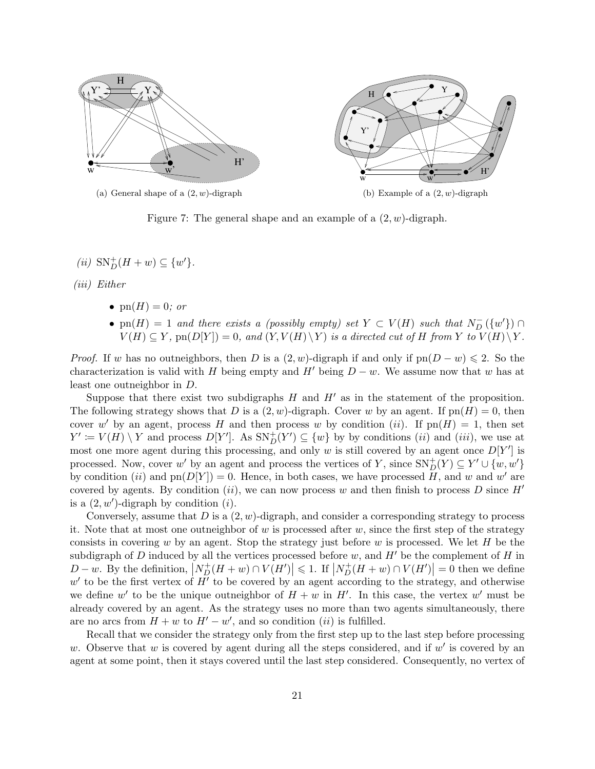

(b) Example of a  $(2, w)$ -digraph

Figure 7: The general shape and an example of a  $(2, w)$ -digraph.

(*ii*)  $SN_{D}^{+}(H + w) \subseteq \{w'\}.$ 

(iii) Either

- $\operatorname{pn}(H) = 0$ ; or
- pn(H) = 1 and there exists a (possibly empty) set  $Y \subset V(H)$  such that  $N_{D}^{-}(\{w'\}) \cap$  $V(H) \subseteq Y$ , pn( $D[Y]$ ) = 0, and  $(Y, V(H) \setminus Y)$  is a directed cut of H from Y to  $V(H) \setminus Y$ .

*Proof.* If w has no outneighbors, then D is a  $(2, w)$ -digraph if and only if  $pn(D - w) \leq 2$ . So the characterization is valid with H being empty and H' being  $D - w$ . We assume now that w has at least one outneighbor in D.

Suppose that there exist two subdigraphs  $H$  and  $H'$  as in the statement of the proposition. The following strategy shows that D is a  $(2, w)$ -digraph. Cover w by an agent. If  $pn(H) = 0$ , then cover w' by an agent, process H and then process w by condition (ii). If  $pn(H) = 1$ , then set  $Y' := V(H) \setminus Y$  and process  $D[Y']$ . As  $SN_{D}^{+}(Y') \subseteq \{w\}$  by by conditions *(ii)* and *(iii)*, we use at most one more agent during this processing, and only w is still covered by an agent once  $D[Y']$  is processed. Now, cover w' by an agent and process the vertices of Y, since  $SN_{D}^{+}(Y) \subseteq Y' \cup \{w,w'\}$ by condition (ii) and  $p(n)[Y]) = 0$ . Hence, in both cases, we have processed  $H$ , and w and w' are covered by agents. By condition (ii), we can now process w and then finish to process D since  $H'$ is a  $(2, w')$ -digraph by condition  $(i)$ .

Conversely, assume that  $D$  is a  $(2, w)$ -digraph, and consider a corresponding strategy to process it. Note that at most one outneighbor of w is processed after w, since the first step of the strategy consists in covering w by an agent. Stop the strategy just before w is processed. We let  $H$  be the subdigraph of D induced by all the vertices processed before w, and  $H'$  be the complement of H in  $D-w$ . By the definition,  $\left| N_D^+(H+w) \cap V(H') \right| \leq 1$ . If  $\left| N_D^+(H+w) \cap V(H') \right| = 0$  then we define  $w'$  to be the first vertex of  $H'$  to be covered by an agent according to the strategy, and otherwise we define w' to be the unique outneighbor of  $H + w$  in  $H'$ . In this case, the vertex w' must be already covered by an agent. As the strategy uses no more than two agents simultaneously, there are no arcs from  $H + w$  to  $H' - w'$ , and so condition (ii) is fulfilled.

Recall that we consider the strategy only from the first step up to the last step before processing w. Observe that w is covered by agent during all the steps considered, and if  $w'$  is covered by an agent at some point, then it stays covered until the last step considered. Consequently, no vertex of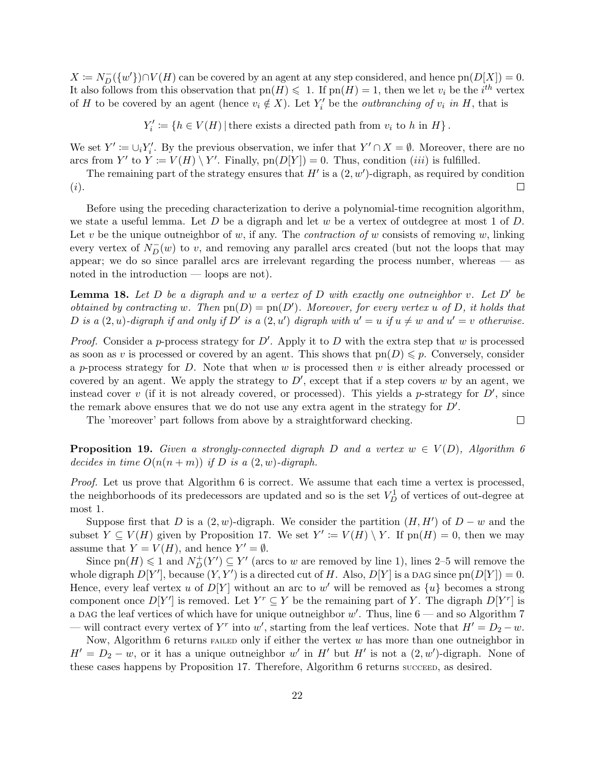$X \coloneqq N_D^{-}(\{w'\}) \cap V(H)$  can be covered by an agent at any step considered, and hence  $\text{pn}(D[X]) = 0$ . It also follows from this observation that  $pn(H) \leq 1$ . If  $pn(H) = 1$ , then we let  $v_i$  be the i<sup>th</sup> vertex of H to be covered by an agent (hence  $v_i \notin X$ ). Let  $Y'_i$  be the *outbranching of*  $v_i$  in H, that is

 $Y'_i := \{ h \in V(H) | \text{there exists a directed path from } v_i \text{ to } h \text{ in } H \}.$ 

We set  $Y' := \bigcup_i Y'_i$ . By the previous observation, we infer that  $Y' \cap X = \emptyset$ . Moreover, there are no arcs from Y' to  $Y = V(H) \setminus Y'$ . Finally,  $pn(D|Y|) = 0$ . Thus, condition *(iii)* is fulfilled.

The remaining part of the strategy ensures that  $H'$  is a  $(2, w')$ -digraph, as required by condition (i).  $\Box$ 

Before using the preceding characterization to derive a polynomial-time recognition algorithm, we state a useful lemma. Let  $D$  be a digraph and let  $w$  be a vertex of outdegree at most 1 of  $D$ . Let v be the unique outneighbor of w, if any. The *contraction of* w consists of removing w, linking every vertex of  $N_{D}^{-}(w)$  to v, and removing any parallel arcs created (but not the loops that may appear; we do so since parallel arcs are irrelevant regarding the process number, whereas — as noted in the introduction — loops are not).

**Lemma 18.** Let D be a digraph and w a vertex of D with exactly one outneighbor v. Let D' be obtained by contracting w. Then  $pn(D) = pn(D')$ . Moreover, for every vertex u of D, it holds that D is a  $(2, u)$ -digraph if and only if D' is a  $(2, u')$  digraph with  $u' = u$  if  $u \neq w$  and  $u' = v$  otherwise.

*Proof.* Consider a p-process strategy for  $D'$ . Apply it to D with the extra step that w is processed as soon as v is processed or covered by an agent. This shows that  $pn(D) \leqslant p$ . Conversely, consider a p-process strategy for  $D$ . Note that when  $w$  is processed then  $v$  is either already processed or covered by an agent. We apply the strategy to  $D'$ , except that if a step covers w by an agent, we instead cover v (if it is not already covered, or processed). This yields a p-strategy for  $D'$ , since the remark above ensures that we do not use any extra agent in the strategy for  $D'$ .

The 'moreover' part follows from above by a straightforward checking.

**Proposition 19.** Given a strongly-connected digraph D and a vertex  $w \in V(D)$ , Algorithm 6 decides in time  $O(n(n+m))$  if D is a  $(2, w)$ -digraph.

 $\Box$ 

Proof. Let us prove that Algorithm 6 is correct. We assume that each time a vertex is processed, the neighborhoods of its predecessors are updated and so is the set  $V_D^1$  of vertices of out-degree at most 1.

Suppose first that D is a  $(2, w)$ -digraph. We consider the partition  $(H, H')$  of  $D - w$  and the subset  $Y \subseteq V(H)$  given by Proposition 17. We set  $Y' := V(H) \setminus Y$ . If  $pn(H) = 0$ , then we may assume that  $Y = V(H)$ , and hence  $Y' = \emptyset$ .

Since  $pn(H) \leq 1$  and  $N_{D}^{+}(Y') \subseteq Y'$  (arcs to w are removed by line 1), lines 2–5 will remove the whole digraph  $D[Y']$ , because  $(Y, Y')$  is a directed cut of H. Also,  $D[Y]$  is a DAG since  $\text{pn}(D[Y]) = 0$ . Hence, every leaf vertex u of  $D[Y]$  without an arc to w' will be removed as  $\{u\}$  becomes a strong component once  $D[Y']$  is removed. Let  $Y^r \subseteq Y$  be the remaining part of Y. The digraph  $D[Y^r]$  is a DAG the leaf vertices of which have for unique outneighbor  $w'$ . Thus, line  $6$  — and so Algorithm 7 — will contract every vertex of Y<sup>r</sup> into w', starting from the leaf vertices. Note that  $H' = D_2 - w$ .

Now, Algorithm 6 returns  $F$  failed only if either the vertex  $w$  has more than one outneighbor in  $H' = D_2 - w$ , or it has a unique outneighbor w' in H' but H' is not a  $(2, w')$ -digraph. None of these cases happens by Proposition 17. Therefore, Algorithm 6 returns succeed, as desired.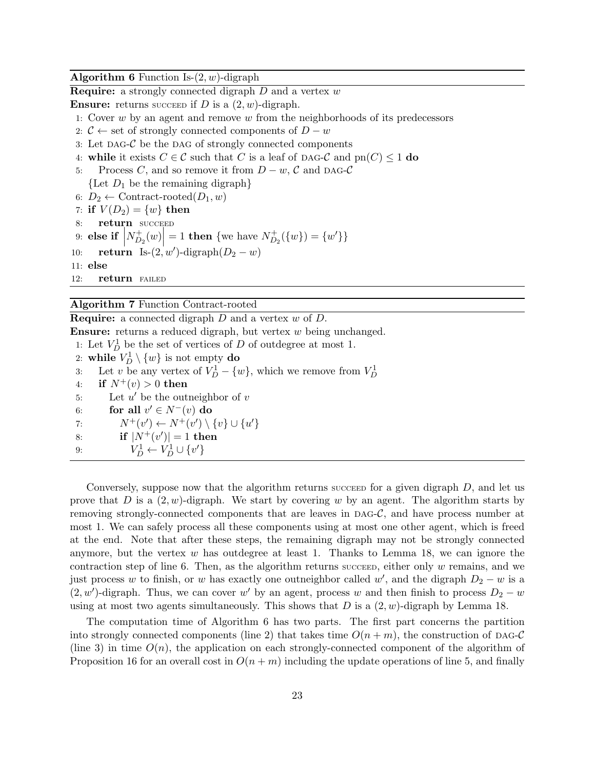**Algorithm 6** Function Is- $(2, w)$ -digraph

**Require:** a strongly connected digraph  $D$  and a vertex  $w$ 

**Ensure:** returns succeed if D is a  $(2, w)$ -digraph.

- 1: Cover w by an agent and remove w from the neighborhoods of its predecessors
- 2:  $C \leftarrow$  set of strongly connected components of  $D w$
- 3: Let  $\text{DAG-}$ C be the DAG of strongly connected components
- 4: while it exists  $C \in \mathcal{C}$  such that C is a leaf of DAG-C and  $\text{pn}(C) \leq 1$  do
- 5: Process C, and so remove it from  $D w$ , C and DAG-C
	- $\{$ Let  $D_1$  be the remaining digraph $\}$
- 6:  $D_2 \leftarrow$  Contract-rooted $(D_1, w)$
- 7: if  $V(D_2) = \{w\}$  then
- 8: return SUCCEED
- 9: else if  $\Big|$  $N_D^+$  $\left| \frac{1}{D_2}(w) \right|$  $= 1$  then {we have  $N_D^+$  $\bigcup_{D_2}^{+} (\{w\}) = \{w'\}\}\$
- 10: **return** Is- $(2, w')$ -digraph $(D_2 w)$

11: else

12: **return** FAILED

#### Algorithm 7 Function Contract-rooted

**Require:** a connected digraph  $D$  and a vertex  $w$  of  $D$ .

Ensure: returns a reduced digraph, but vertex w being unchanged.

1: Let  $V_D^1$  be the set of vertices of D of outdegree at most 1.

2: while  $V_D^1 \setminus \{w\}$  is not empty do

3: Let v be any vertex of  $V_D^1 - \{w\}$ , which we remove from  $V_D^1$ 

- 4: if  $N^+(v) > 0$  then
- 5: Let  $u'$  be the outneighbor of  $v$
- 6: for all  $v' \in N^-(v)$  do
- 7:  $N^+(v') \leftarrow N^+(v') \setminus \{v\} \cup \{u'\}$

8: if 
$$
|N^+(v')| = 1
$$
 then

9:  $V_D^1 \leftarrow V_D^1 \cup \{v'\}$ 

Conversely, suppose now that the algorithm returns succeed for a given digraph  $D$ , and let us prove that D is a  $(2, w)$ -digraph. We start by covering w by an agent. The algorithm starts by removing strongly-connected components that are leaves in  $\text{DAG-}\mathcal{C}$ , and have process number at most 1. We can safely process all these components using at most one other agent, which is freed at the end. Note that after these steps, the remaining digraph may not be strongly connected anymore, but the vertex  $w$  has outdegree at least 1. Thanks to Lemma 18, we can ignore the contraction step of line 6. Then, as the algorithm returns successor, either only  $w$  remains, and we just process w to finish, or w has exactly one outneighbor called w', and the digraph  $D_2 - w$  is a  $(2, w')$ -digraph. Thus, we can cover w' by an agent, process w and then finish to process  $D_2 - w$ using at most two agents simultaneously. This shows that D is a  $(2, w)$ -digraph by Lemma 18.

The computation time of Algorithm 6 has two parts. The first part concerns the partition into strongly connected components (line 2) that takes time  $O(n + m)$ , the construction of DAG-C (line 3) in time  $O(n)$ , the application on each strongly-connected component of the algorithm of Proposition 16 for an overall cost in  $O(n + m)$  including the update operations of line 5, and finally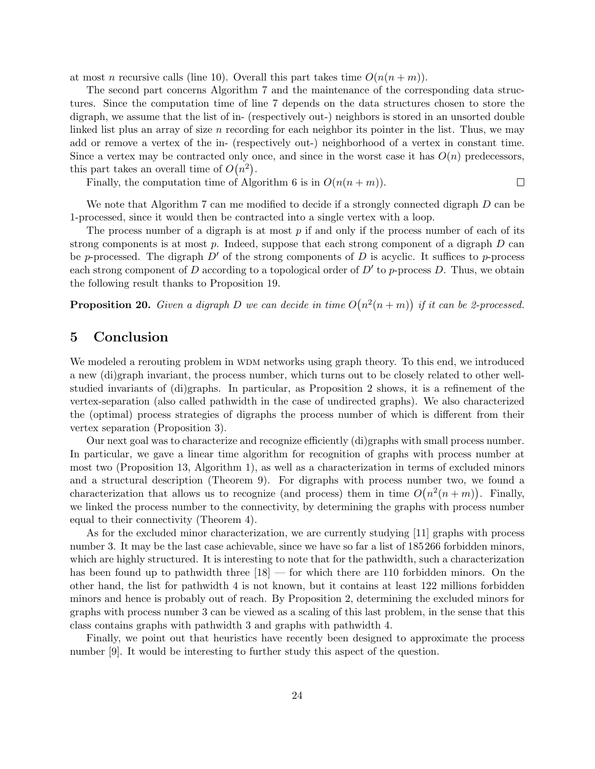at most n recursive calls (line 10). Overall this part takes time  $O(n(n+m))$ .

The second part concerns Algorithm 7 and the maintenance of the corresponding data structures. Since the computation time of line 7 depends on the data structures chosen to store the digraph, we assume that the list of in- (respectively out-) neighbors is stored in an unsorted double linked list plus an array of size  $n$  recording for each neighbor its pointer in the list. Thus, we may add or remove a vertex of the in- (respectively out-) neighborhood of a vertex in constant time. Since a vertex may be contracted only once, and since in the worst case it has  $O(n)$  predecessors, this part takes an overall time of  $O(n^2)$ .

Finally, the computation time of Algorithm 6 is in  $O(n(n+m))$ .

 $\Box$ 

We note that Algorithm 7 can me modified to decide if a strongly connected digraph D can be 1-processed, since it would then be contracted into a single vertex with a loop.

The process number of a digraph is at most  $p$  if and only if the process number of each of its strong components is at most  $p$ . Indeed, suppose that each strong component of a digraph  $D$  can be p-processed. The digraph  $D'$  of the strong components of D is acyclic. It suffices to p-process each strong component of D according to a topological order of  $D'$  to p-process D. Thus, we obtain the following result thanks to Proposition 19.

**Proposition 20.** Given a digraph D we can decide in time  $O(n^2(n+m))$  if it can be 2-processed.

## 5 Conclusion

We modeled a rerouting problem in WDM networks using graph theory. To this end, we introduced a new (di)graph invariant, the process number, which turns out to be closely related to other wellstudied invariants of (di)graphs. In particular, as Proposition 2 shows, it is a refinement of the vertex-separation (also called pathwidth in the case of undirected graphs). We also characterized the (optimal) process strategies of digraphs the process number of which is different from their vertex separation (Proposition 3).

Our next goal was to characterize and recognize efficiently (di)graphs with small process number. In particular, we gave a linear time algorithm for recognition of graphs with process number at most two (Proposition 13, Algorithm 1), as well as a characterization in terms of excluded minors and a structural description (Theorem 9). For digraphs with process number two, we found a characterization that allows us to recognize (and process) them in time  $O(n^2(n+m))$ . Finally, we linked the process number to the connectivity, by determining the graphs with process number equal to their connectivity (Theorem 4).

As for the excluded minor characterization, we are currently studying [11] graphs with process number 3. It may be the last case achievable, since we have so far a list of 185266 forbidden minors, which are highly structured. It is interesting to note that for the pathwidth, such a characterization has been found up to pathwidth three  $[18]$  — for which there are 110 forbidden minors. On the other hand, the list for pathwidth 4 is not known, but it contains at least 122 millions forbidden minors and hence is probably out of reach. By Proposition 2, determining the excluded minors for graphs with process number 3 can be viewed as a scaling of this last problem, in the sense that this class contains graphs with pathwidth 3 and graphs with pathwidth 4.

Finally, we point out that heuristics have recently been designed to approximate the process number [9]. It would be interesting to further study this aspect of the question.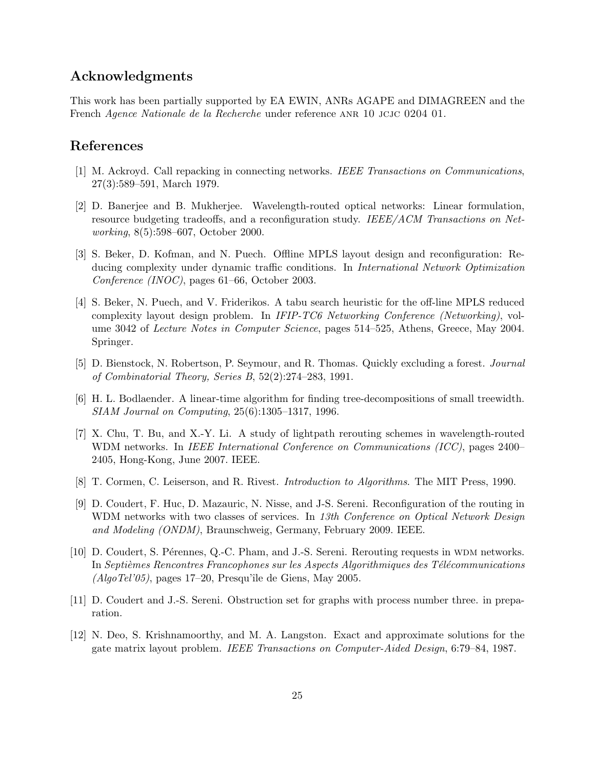## Acknowledgments

This work has been partially supported by EA EWIN, ANRs AGAPE and DIMAGREEN and the French Agence Nationale de la Recherche under reference anr 10 jcjc 0204 01.

## References

- [1] M. Ackroyd. Call repacking in connecting networks. IEEE Transactions on Communications, 27(3):589–591, March 1979.
- [2] D. Banerjee and B. Mukherjee. Wavelength-routed optical networks: Linear formulation, resource budgeting tradeoffs, and a reconfiguration study. IEEE/ACM Transactions on Networking, 8(5):598–607, October 2000.
- [3] S. Beker, D. Kofman, and N. Puech. Offline MPLS layout design and reconfiguration: Reducing complexity under dynamic traffic conditions. In International Network Optimization Conference (INOC), pages 61–66, October 2003.
- [4] S. Beker, N. Puech, and V. Friderikos. A tabu search heuristic for the off-line MPLS reduced complexity layout design problem. In IFIP-TC6 Networking Conference (Networking), volume 3042 of Lecture Notes in Computer Science, pages 514–525, Athens, Greece, May 2004. Springer.
- [5] D. Bienstock, N. Robertson, P. Seymour, and R. Thomas. Quickly excluding a forest. Journal of Combinatorial Theory, Series B, 52(2):274–283, 1991.
- [6] H. L. Bodlaender. A linear-time algorithm for finding tree-decompositions of small treewidth. SIAM Journal on Computing, 25(6):1305–1317, 1996.
- [7] X. Chu, T. Bu, and X.-Y. Li. A study of lightpath rerouting schemes in wavelength-routed WDM networks. In IEEE International Conference on Communications (ICC), pages 2400– 2405, Hong-Kong, June 2007. IEEE.
- [8] T. Cormen, C. Leiserson, and R. Rivest. Introduction to Algorithms. The MIT Press, 1990.
- [9] D. Coudert, F. Huc, D. Mazauric, N. Nisse, and J-S. Sereni. Reconfiguration of the routing in WDM networks with two classes of services. In 13th Conference on Optical Network Design and Modeling (ONDM), Braunschweig, Germany, February 2009. IEEE.
- [10] D. Coudert, S. Pérennes, Q.-C. Pham, and J.-S. Sereni. Rerouting requests in WDM networks. In Septièmes Rencontres Francophones sur les Aspects Algorithmiques des Télécommunications  $(A \log T e l' 05)$ , pages 17–20, Presqu'île de Giens, May 2005.
- [11] D. Coudert and J.-S. Sereni. Obstruction set for graphs with process number three. in preparation.
- [12] N. Deo, S. Krishnamoorthy, and M. A. Langston. Exact and approximate solutions for the gate matrix layout problem. IEEE Transactions on Computer-Aided Design, 6:79–84, 1987.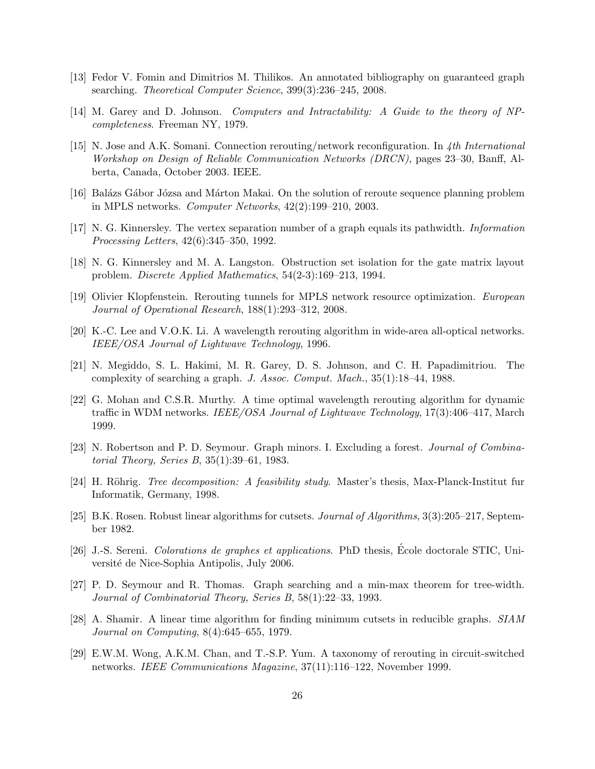- [13] Fedor V. Fomin and Dimitrios M. Thilikos. An annotated bibliography on guaranteed graph searching. Theoretical Computer Science, 399(3):236–245, 2008.
- [14] M. Garey and D. Johnson. Computers and Intractability: A Guide to the theory of NPcompleteness. Freeman NY, 1979.
- [15] N. Jose and A.K. Somani. Connection rerouting/network reconfiguration. In 4th International Workshop on Design of Reliable Communication Networks (DRCN), pages 23–30, Banff, Alberta, Canada, October 2003. IEEE.
- [16] Balázs Gábor Józsa and Márton Makai. On the solution of reroute sequence planning problem in MPLS networks. Computer Networks, 42(2):199–210, 2003.
- [17] N. G. Kinnersley. The vertex separation number of a graph equals its pathwidth. Information Processing Letters, 42(6):345–350, 1992.
- [18] N. G. Kinnersley and M. A. Langston. Obstruction set isolation for the gate matrix layout problem. Discrete Applied Mathematics, 54(2-3):169–213, 1994.
- [19] Olivier Klopfenstein. Rerouting tunnels for MPLS network resource optimization. European Journal of Operational Research, 188(1):293–312, 2008.
- [20] K.-C. Lee and V.O.K. Li. A wavelength rerouting algorithm in wide-area all-optical networks. IEEE/OSA Journal of Lightwave Technology, 1996.
- [21] N. Megiddo, S. L. Hakimi, M. R. Garey, D. S. Johnson, and C. H. Papadimitriou. The complexity of searching a graph. J. Assoc. Comput. Mach., 35(1):18–44, 1988.
- [22] G. Mohan and C.S.R. Murthy. A time optimal wavelength rerouting algorithm for dynamic traffic in WDM networks. *IEEE/OSA Journal of Lightwave Technology*, 17(3):406–417, March 1999.
- [23] N. Robertson and P. D. Seymour. Graph minors. I. Excluding a forest. Journal of Combinatorial Theory, Series B, 35(1):39–61, 1983.
- [24] H. Röhrig. *Tree decomposition: A feasibility study*. Master's thesis, Max-Planck-Institut fur Informatik, Germany, 1998.
- [25] B.K. Rosen. Robust linear algorithms for cutsets. Journal of Algorithms, 3(3):205–217, September 1982.
- [26] J.-S. Sereni. Colorations de graphes et applications. PhD thesis, Ecole doctorale STIC, Uni- ´ versité de Nice-Sophia Antipolis, July 2006.
- [27] P. D. Seymour and R. Thomas. Graph searching and a min-max theorem for tree-width. Journal of Combinatorial Theory, Series B, 58(1):22–33, 1993.
- [28] A. Shamir. A linear time algorithm for finding minimum cutsets in reducible graphs. SIAM Journal on Computing, 8(4):645–655, 1979.
- [29] E.W.M. Wong, A.K.M. Chan, and T.-S.P. Yum. A taxonomy of rerouting in circuit-switched networks. IEEE Communications Magazine, 37(11):116–122, November 1999.